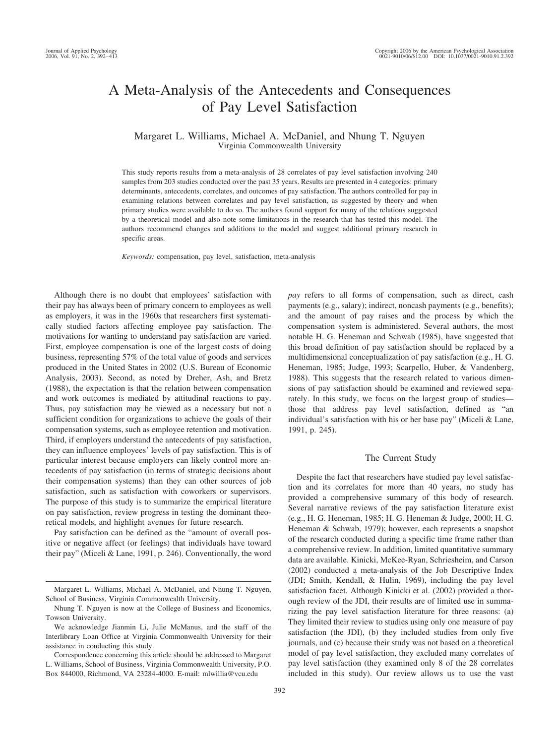# A Meta-Analysis of the Antecedents and Consequences of Pay Level Satisfaction

## Margaret L. Williams, Michael A. McDaniel, and Nhung T. Nguyen Virginia Commonwealth University

This study reports results from a meta-analysis of 28 correlates of pay level satisfaction involving 240 samples from 203 studies conducted over the past 35 years. Results are presented in 4 categories: primary determinants, antecedents, correlates, and outcomes of pay satisfaction. The authors controlled for pay in examining relations between correlates and pay level satisfaction, as suggested by theory and when primary studies were available to do so. The authors found support for many of the relations suggested by a theoretical model and also note some limitations in the research that has tested this model. The authors recommend changes and additions to the model and suggest additional primary research in specific areas.

*Keywords:* compensation, pay level, satisfaction, meta-analysis

Although there is no doubt that employees' satisfaction with their pay has always been of primary concern to employees as well as employers, it was in the 1960s that researchers first systematically studied factors affecting employee pay satisfaction. The motivations for wanting to understand pay satisfaction are varied. First, employee compensation is one of the largest costs of doing business, representing 57% of the total value of goods and services produced in the United States in 2002 (U.S. Bureau of Economic Analysis, 2003). Second, as noted by Dreher, Ash, and Bretz (1988), the expectation is that the relation between compensation and work outcomes is mediated by attitudinal reactions to pay. Thus, pay satisfaction may be viewed as a necessary but not a sufficient condition for organizations to achieve the goals of their compensation systems, such as employee retention and motivation. Third, if employers understand the antecedents of pay satisfaction, they can influence employees' levels of pay satisfaction. This is of particular interest because employers can likely control more antecedents of pay satisfaction (in terms of strategic decisions about their compensation systems) than they can other sources of job satisfaction, such as satisfaction with coworkers or supervisors. The purpose of this study is to summarize the empirical literature on pay satisfaction, review progress in testing the dominant theoretical models, and highlight avenues for future research.

Pay satisfaction can be defined as the "amount of overall positive or negative affect (or feelings) that individuals have toward their pay" (Miceli & Lane, 1991, p. 246). Conventionally, the word *pay* refers to all forms of compensation, such as direct, cash payments (e.g., salary); indirect, noncash payments (e.g., benefits); and the amount of pay raises and the process by which the compensation system is administered. Several authors, the most notable H. G. Heneman and Schwab (1985), have suggested that this broad definition of pay satisfaction should be replaced by a multidimensional conceptualization of pay satisfaction (e.g., H. G. Heneman, 1985; Judge, 1993; Scarpello, Huber, & Vandenberg, 1988). This suggests that the research related to various dimensions of pay satisfaction should be examined and reviewed separately. In this study, we focus on the largest group of studies those that address pay level satisfaction, defined as "an individual's satisfaction with his or her base pay" (Miceli & Lane, 1991, p. 245).

#### The Current Study

Despite the fact that researchers have studied pay level satisfaction and its correlates for more than 40 years, no study has provided a comprehensive summary of this body of research. Several narrative reviews of the pay satisfaction literature exist (e.g., H. G. Heneman, 1985; H. G. Heneman & Judge, 2000; H. G. Heneman & Schwab, 1979); however, each represents a snapshot of the research conducted during a specific time frame rather than a comprehensive review. In addition, limited quantitative summary data are available. Kinicki, McKee-Ryan, Schriesheim, and Carson (2002) conducted a meta-analysis of the Job Descriptive Index (JDI; Smith, Kendall, & Hulin, 1969), including the pay level satisfaction facet. Although Kinicki et al. (2002) provided a thorough review of the JDI, their results are of limited use in summarizing the pay level satisfaction literature for three reasons: (a) They limited their review to studies using only one measure of pay satisfaction (the JDI), (b) they included studies from only five journals, and (c) because their study was not based on a theoretical model of pay level satisfaction, they excluded many correlates of pay level satisfaction (they examined only 8 of the 28 correlates included in this study). Our review allows us to use the vast

Margaret L. Williams, Michael A. McDaniel, and Nhung T. Nguyen, School of Business, Virginia Commonwealth University.

Nhung T. Nguyen is now at the College of Business and Economics, Towson University.

We acknowledge Jianmin Li, Julie McManus, and the staff of the Interlibrary Loan Office at Virginia Commonwealth University for their assistance in conducting this study.

Correspondence concerning this article should be addressed to Margaret L. Williams, School of Business, Virginia Commonwealth University, P.O. Box 844000, Richmond, VA 23284-4000. E-mail: mlwillia@vcu.edu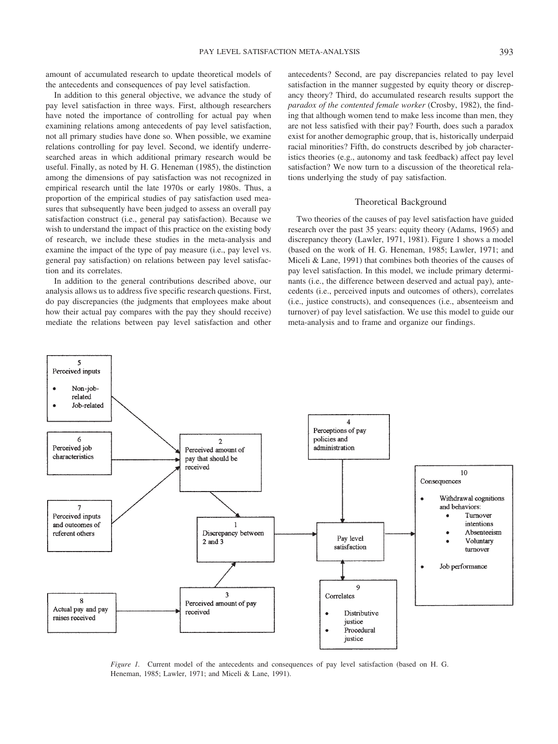amount of accumulated research to update theoretical models of the antecedents and consequences of pay level satisfaction.

In addition to this general objective, we advance the study of pay level satisfaction in three ways. First, although researchers have noted the importance of controlling for actual pay when examining relations among antecedents of pay level satisfaction, not all primary studies have done so. When possible, we examine relations controlling for pay level. Second, we identify underresearched areas in which additional primary research would be useful. Finally, as noted by H. G. Heneman (1985), the distinction among the dimensions of pay satisfaction was not recognized in empirical research until the late 1970s or early 1980s. Thus, a proportion of the empirical studies of pay satisfaction used measures that subsequently have been judged to assess an overall pay satisfaction construct (i.e., general pay satisfaction). Because we wish to understand the impact of this practice on the existing body of research, we include these studies in the meta-analysis and examine the impact of the type of pay measure (i.e., pay level vs. general pay satisfaction) on relations between pay level satisfaction and its correlates.

In addition to the general contributions described above, our analysis allows us to address five specific research questions. First, do pay discrepancies (the judgments that employees make about how their actual pay compares with the pay they should receive) mediate the relations between pay level satisfaction and other

antecedents? Second, are pay discrepancies related to pay level satisfaction in the manner suggested by equity theory or discrepancy theory? Third, do accumulated research results support the *paradox of the contented female worker* (Crosby, 1982), the finding that although women tend to make less income than men, they are not less satisfied with their pay? Fourth, does such a paradox exist for another demographic group, that is, historically underpaid racial minorities? Fifth, do constructs described by job characteristics theories (e.g., autonomy and task feedback) affect pay level satisfaction? We now turn to a discussion of the theoretical relations underlying the study of pay satisfaction.

## Theoretical Background

Two theories of the causes of pay level satisfaction have guided research over the past 35 years: equity theory (Adams, 1965) and discrepancy theory (Lawler, 1971, 1981). Figure 1 shows a model (based on the work of H. G. Heneman, 1985; Lawler, 1971; and Miceli & Lane, 1991) that combines both theories of the causes of pay level satisfaction. In this model, we include primary determinants (i.e., the difference between deserved and actual pay), antecedents (i.e., perceived inputs and outcomes of others), correlates (i.e., justice constructs), and consequences (i.e., absenteeism and turnover) of pay level satisfaction. We use this model to guide our meta-analysis and to frame and organize our findings.



*Figure 1.* Current model of the antecedents and consequences of pay level satisfaction (based on H. G. Heneman, 1985; Lawler, 1971; and Miceli & Lane, 1991).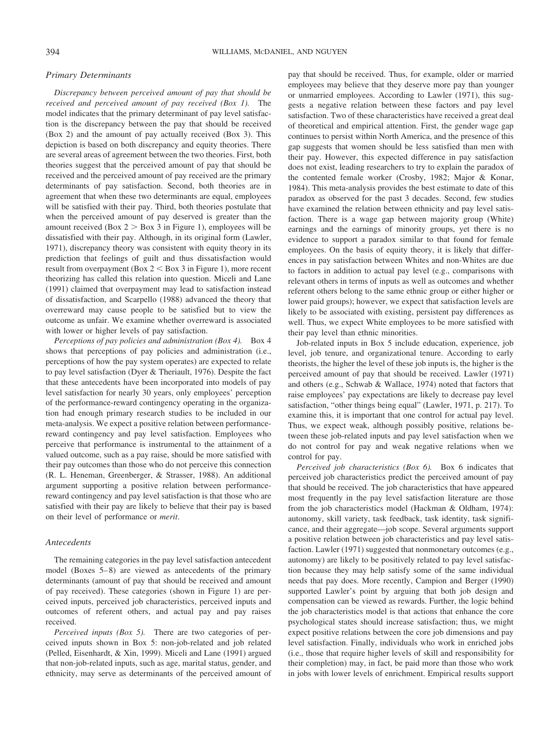## *Primary Determinants*

*Discrepancy between perceived amount of pay that should be received and perceived amount of pay received (Box 1).* The model indicates that the primary determinant of pay level satisfaction is the discrepancy between the pay that should be received (Box 2) and the amount of pay actually received (Box 3). This depiction is based on both discrepancy and equity theories. There are several areas of agreement between the two theories. First, both theories suggest that the perceived amount of pay that should be received and the perceived amount of pay received are the primary determinants of pay satisfaction. Second, both theories are in agreement that when these two determinants are equal, employees will be satisfied with their pay. Third, both theories postulate that when the perceived amount of pay deserved is greater than the amount received (Box  $2 >$  Box 3 in Figure 1), employees will be dissatisfied with their pay. Although, in its original form (Lawler, 1971), discrepancy theory was consistent with equity theory in its prediction that feelings of guilt and thus dissatisfaction would result from overpayment (Box  $2 <$  Box 3 in Figure 1), more recent theorizing has called this relation into question. Miceli and Lane (1991) claimed that overpayment may lead to satisfaction instead of dissatisfaction, and Scarpello (1988) advanced the theory that overreward may cause people to be satisfied but to view the outcome as unfair. We examine whether overreward is associated with lower or higher levels of pay satisfaction.

*Perceptions of pay policies and administration (Box 4).* Box 4 shows that perceptions of pay policies and administration (i.e., perceptions of how the pay system operates) are expected to relate to pay level satisfaction (Dyer & Theriault, 1976). Despite the fact that these antecedents have been incorporated into models of pay level satisfaction for nearly 30 years, only employees' perception of the performance-reward contingency operating in the organization had enough primary research studies to be included in our meta-analysis. We expect a positive relation between performancereward contingency and pay level satisfaction. Employees who perceive that performance is instrumental to the attainment of a valued outcome, such as a pay raise, should be more satisfied with their pay outcomes than those who do not perceive this connection (R. L. Heneman, Greenberger, & Strasser, 1988). An additional argument supporting a positive relation between performancereward contingency and pay level satisfaction is that those who are satisfied with their pay are likely to believe that their pay is based on their level of performance or *merit*.

### *Antecedents*

The remaining categories in the pay level satisfaction antecedent model (Boxes 5–8) are viewed as antecedents of the primary determinants (amount of pay that should be received and amount of pay received). These categories (shown in Figure 1) are perceived inputs, perceived job characteristics, perceived inputs and outcomes of referent others, and actual pay and pay raises received.

*Perceived inputs (Box 5).* There are two categories of perceived inputs shown in Box 5: non-job-related and job related (Pelled, Eisenhardt, & Xin, 1999). Miceli and Lane (1991) argued that non-job-related inputs, such as age, marital status, gender, and ethnicity, may serve as determinants of the perceived amount of pay that should be received. Thus, for example, older or married employees may believe that they deserve more pay than younger or unmarried employees. According to Lawler (1971), this suggests a negative relation between these factors and pay level satisfaction. Two of these characteristics have received a great deal of theoretical and empirical attention. First, the gender wage gap continues to persist within North America, and the presence of this gap suggests that women should be less satisfied than men with their pay. However, this expected difference in pay satisfaction does not exist, leading researchers to try to explain the paradox of the contented female worker (Crosby, 1982; Major & Konar, 1984). This meta-analysis provides the best estimate to date of this paradox as observed for the past 3 decades. Second, few studies have examined the relation between ethnicity and pay level satisfaction. There is a wage gap between majority group (White) earnings and the earnings of minority groups, yet there is no evidence to support a paradox similar to that found for female employees. On the basis of equity theory, it is likely that differences in pay satisfaction between Whites and non-Whites are due to factors in addition to actual pay level (e.g., comparisons with relevant others in terms of inputs as well as outcomes and whether referent others belong to the same ethnic group or either higher or lower paid groups); however, we expect that satisfaction levels are likely to be associated with existing, persistent pay differences as well. Thus, we expect White employees to be more satisfied with their pay level than ethnic minorities.

Job-related inputs in Box 5 include education, experience, job level, job tenure, and organizational tenure. According to early theorists, the higher the level of these job inputs is, the higher is the perceived amount of pay that should be received. Lawler (1971) and others (e.g., Schwab & Wallace, 1974) noted that factors that raise employees' pay expectations are likely to decrease pay level satisfaction, "other things being equal" (Lawler, 1971, p. 217). To examine this, it is important that one control for actual pay level. Thus, we expect weak, although possibly positive, relations between these job-related inputs and pay level satisfaction when we do not control for pay and weak negative relations when we control for pay.

*Perceived job characteristics (Box 6).* Box 6 indicates that perceived job characteristics predict the perceived amount of pay that should be received. The job characteristics that have appeared most frequently in the pay level satisfaction literature are those from the job characteristics model (Hackman & Oldham, 1974): autonomy, skill variety, task feedback, task identity, task significance, and their aggregate—job scope. Several arguments support a positive relation between job characteristics and pay level satisfaction. Lawler (1971) suggested that nonmonetary outcomes (e.g., autonomy) are likely to be positively related to pay level satisfaction because they may help satisfy some of the same individual needs that pay does. More recently, Campion and Berger (1990) supported Lawler's point by arguing that both job design and compensation can be viewed as rewards. Further, the logic behind the job characteristics model is that actions that enhance the core psychological states should increase satisfaction; thus, we might expect positive relations between the core job dimensions and pay level satisfaction. Finally, individuals who work in enriched jobs (i.e., those that require higher levels of skill and responsibility for their completion) may, in fact, be paid more than those who work in jobs with lower levels of enrichment. Empirical results support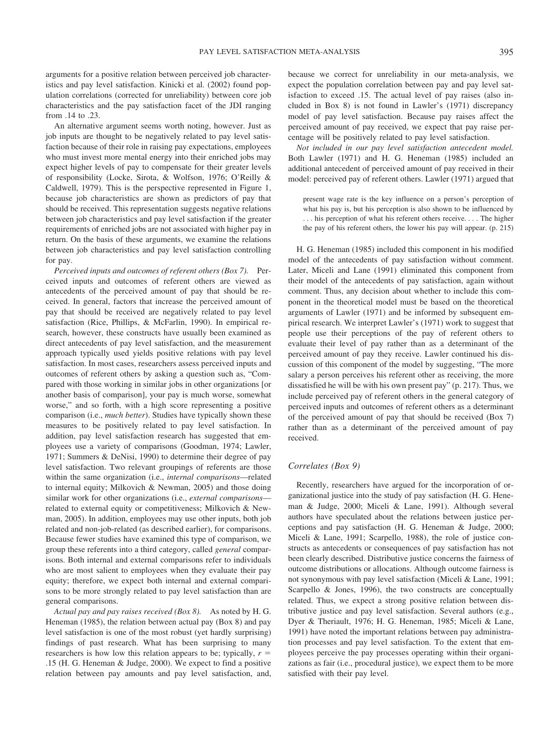arguments for a positive relation between perceived job characteristics and pay level satisfaction. Kinicki et al. (2002) found population correlations (corrected for unreliability) between core job characteristics and the pay satisfaction facet of the JDI ranging from .14 to .23.

An alternative argument seems worth noting, however. Just as job inputs are thought to be negatively related to pay level satisfaction because of their role in raising pay expectations, employees who must invest more mental energy into their enriched jobs may expect higher levels of pay to compensate for their greater levels of responsibility (Locke, Sirota, & Wolfson, 1976; O'Reilly & Caldwell, 1979). This is the perspective represented in Figure 1, because job characteristics are shown as predictors of pay that should be received. This representation suggests negative relations between job characteristics and pay level satisfaction if the greater requirements of enriched jobs are not associated with higher pay in return. On the basis of these arguments, we examine the relations between job characteristics and pay level satisfaction controlling for pay.

*Perceived inputs and outcomes of referent others (Box 7).* Perceived inputs and outcomes of referent others are viewed as antecedents of the perceived amount of pay that should be received. In general, factors that increase the perceived amount of pay that should be received are negatively related to pay level satisfaction (Rice, Phillips, & McFarlin, 1990). In empirical research, however, these constructs have usually been examined as direct antecedents of pay level satisfaction, and the measurement approach typically used yields positive relations with pay level satisfaction. In most cases, researchers assess perceived inputs and outcomes of referent others by asking a question such as, "Compared with those working in similar jobs in other organizations [or another basis of comparison], your pay is much worse, somewhat worse," and so forth, with a high score representing a positive comparison (i.e., *much better*). Studies have typically shown these measures to be positively related to pay level satisfaction. In addition, pay level satisfaction research has suggested that employees use a variety of comparisons (Goodman, 1974; Lawler, 1971; Summers & DeNisi, 1990) to determine their degree of pay level satisfaction. Two relevant groupings of referents are those within the same organization (i.e., *internal comparisons*—related to internal equity; Milkovich & Newman, 2005) and those doing similar work for other organizations (i.e., *external comparisons* related to external equity or competitiveness; Milkovich & Newman, 2005). In addition, employees may use other inputs, both job related and non-job-related (as described earlier), for comparisons. Because fewer studies have examined this type of comparison, we group these referents into a third category, called *general* comparisons. Both internal and external comparisons refer to individuals who are most salient to employees when they evaluate their pay equity; therefore, we expect both internal and external comparisons to be more strongly related to pay level satisfaction than are general comparisons.

*Actual pay and pay raises received (Box 8).* As noted by H. G. Heneman (1985), the relation between actual pay (Box 8) and pay level satisfaction is one of the most robust (yet hardly surprising) findings of past research. What has been surprising to many researchers is how low this relation appears to be; typically,  $r =$ .15 (H. G. Heneman & Judge, 2000). We expect to find a positive relation between pay amounts and pay level satisfaction, and, because we correct for unreliability in our meta-analysis, we expect the population correlation between pay and pay level satisfaction to exceed .15. The actual level of pay raises (also included in Box 8) is not found in Lawler's (1971) discrepancy model of pay level satisfaction. Because pay raises affect the perceived amount of pay received, we expect that pay raise percentage will be positively related to pay level satisfaction.

*Not included in our pay level satisfaction antecedent model.* Both Lawler (1971) and H. G. Heneman (1985) included an additional antecedent of perceived amount of pay received in their model: perceived pay of referent others. Lawler (1971) argued that

present wage rate is the key influence on a person's perception of what his pay is, but his perception is also shown to be influenced by . . . his perception of what his referent others receive. . . . The higher the pay of his referent others, the lower his pay will appear. (p. 215)

H. G. Heneman (1985) included this component in his modified model of the antecedents of pay satisfaction without comment. Later, Miceli and Lane (1991) eliminated this component from their model of the antecedents of pay satisfaction, again without comment. Thus, any decision about whether to include this component in the theoretical model must be based on the theoretical arguments of Lawler (1971) and be informed by subsequent empirical research. We interpret Lawler's (1971) work to suggest that people use their perceptions of the pay of referent others to evaluate their level of pay rather than as a determinant of the perceived amount of pay they receive. Lawler continued his discussion of this component of the model by suggesting, "The more salary a person perceives his referent other as receiving, the more dissatisfied he will be with his own present pay" (p. 217). Thus, we include perceived pay of referent others in the general category of perceived inputs and outcomes of referent others as a determinant of the perceived amount of pay that should be received (Box 7) rather than as a determinant of the perceived amount of pay received.

## *Correlates (Box 9)*

Recently, researchers have argued for the incorporation of organizational justice into the study of pay satisfaction (H. G. Heneman & Judge, 2000; Miceli & Lane, 1991). Although several authors have speculated about the relations between justice perceptions and pay satisfaction (H. G. Heneman & Judge, 2000; Miceli & Lane, 1991; Scarpello, 1988), the role of justice constructs as antecedents or consequences of pay satisfaction has not been clearly described. Distributive justice concerns the fairness of outcome distributions or allocations. Although outcome fairness is not synonymous with pay level satisfaction (Miceli & Lane, 1991; Scarpello & Jones, 1996), the two constructs are conceptually related. Thus, we expect a strong positive relation between distributive justice and pay level satisfaction. Several authors (e.g., Dyer & Theriault, 1976; H. G. Heneman, 1985; Miceli & Lane, 1991) have noted the important relations between pay administration processes and pay level satisfaction. To the extent that employees perceive the pay processes operating within their organizations as fair (i.e., procedural justice), we expect them to be more satisfied with their pay level.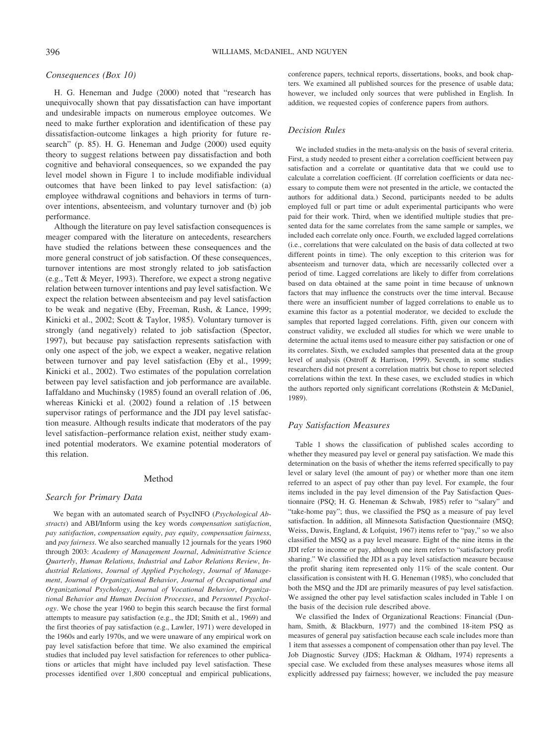## *Consequences (Box 10)*

H. G. Heneman and Judge (2000) noted that "research has unequivocally shown that pay dissatisfaction can have important and undesirable impacts on numerous employee outcomes. We need to make further exploration and identification of these pay dissatisfaction-outcome linkages a high priority for future research" (p. 85). H. G. Heneman and Judge (2000) used equity theory to suggest relations between pay dissatisfaction and both cognitive and behavioral consequences, so we expanded the pay level model shown in Figure 1 to include modifiable individual outcomes that have been linked to pay level satisfaction: (a) employee withdrawal cognitions and behaviors in terms of turnover intentions, absenteeism, and voluntary turnover and (b) job performance.

Although the literature on pay level satisfaction consequences is meager compared with the literature on antecedents, researchers have studied the relations between these consequences and the more general construct of job satisfaction. Of these consequences, turnover intentions are most strongly related to job satisfaction (e.g., Tett & Meyer, 1993). Therefore, we expect a strong negative relation between turnover intentions and pay level satisfaction. We expect the relation between absenteeism and pay level satisfaction to be weak and negative (Eby, Freeman, Rush, & Lance, 1999; Kinicki et al., 2002; Scott & Taylor, 1985). Voluntary turnover is strongly (and negatively) related to job satisfaction (Spector, 1997), but because pay satisfaction represents satisfaction with only one aspect of the job, we expect a weaker, negative relation between turnover and pay level satisfaction (Eby et al., 1999; Kinicki et al., 2002). Two estimates of the population correlation between pay level satisfaction and job performance are available. Iaffaldano and Muchinsky (1985) found an overall relation of .06, whereas Kinicki et al. (2002) found a relation of .15 between supervisor ratings of performance and the JDI pay level satisfaction measure. Although results indicate that moderators of the pay level satisfaction–performance relation exist, neither study examined potential moderators. We examine potential moderators of this relation.

#### Method

#### *Search for Primary Data*

We began with an automated search of PsycINFO (*Psychological Abstracts*) and ABI/Inform using the key words *compensation satisfaction*, *pay satisfaction*, *compensation equity*, *pay equity*, *compensation fairness*, and *pay fairness*. We also searched manually 12 journals for the years 1960 through 2003: *Academy of Management Journal*, *Administrative Science Quarterly*, *Human Relations*, *Industrial and Labor Relations Review*, *Industrial Relations*, *Journal of Applied Psychology*, *Journal of Management*, *Journal of Organizational Behavior*, *Journal of Occupational and Organizational Psychology*, *Journal of Vocational Behavior*, *Organizational Behavior and Human Decision Processes*, and *Personnel Psychology*. We chose the year 1960 to begin this search because the first formal attempts to measure pay satisfaction (e.g., the JDI; Smith et al., 1969) and the first theories of pay satisfaction (e.g., Lawler, 1971) were developed in the 1960s and early 1970s, and we were unaware of any empirical work on pay level satisfaction before that time. We also examined the empirical studies that included pay level satisfaction for references to other publications or articles that might have included pay level satisfaction. These processes identified over 1,800 conceptual and empirical publications,

conference papers, technical reports, dissertations, books, and book chapters. We examined all published sources for the presence of usable data; however, we included only sources that were published in English. In addition, we requested copies of conference papers from authors.

## *Decision Rules*

We included studies in the meta-analysis on the basis of several criteria. First, a study needed to present either a correlation coefficient between pay satisfaction and a correlate or quantitative data that we could use to calculate a correlation coefficient. (If correlation coefficients or data necessary to compute them were not presented in the article, we contacted the authors for additional data.) Second, participants needed to be adults employed full or part time or adult experimental participants who were paid for their work. Third, when we identified multiple studies that presented data for the same correlates from the same sample or samples, we included each correlate only once. Fourth, we excluded lagged correlations (i.e., correlations that were calculated on the basis of data collected at two different points in time). The only exception to this criterion was for absenteeism and turnover data, which are necessarily collected over a period of time. Lagged correlations are likely to differ from correlations based on data obtained at the same point in time because of unknown factors that may influence the constructs over the time interval. Because there were an insufficient number of lagged correlations to enable us to examine this factor as a potential moderator, we decided to exclude the samples that reported lagged correlations. Fifth, given our concern with construct validity, we excluded all studies for which we were unable to determine the actual items used to measure either pay satisfaction or one of its correlates. Sixth, we excluded samples that presented data at the group level of analysis (Ostroff & Harrison, 1999). Seventh, in some studies researchers did not present a correlation matrix but chose to report selected correlations within the text. In these cases, we excluded studies in which the authors reported only significant correlations (Rothstein & McDaniel, 1989).

#### *Pay Satisfaction Measures*

Table 1 shows the classification of published scales according to whether they measured pay level or general pay satisfaction. We made this determination on the basis of whether the items referred specifically to pay level or salary level (the amount of pay) or whether more than one item referred to an aspect of pay other than pay level. For example, the four items included in the pay level dimension of the Pay Satisfaction Questionnaire (PSQ; H. G. Heneman & Schwab, 1985) refer to "salary" and "take-home pay"; thus, we classified the PSQ as a measure of pay level satisfaction. In addition, all Minnesota Satisfaction Questionnaire (MSQ; Weiss, Dawis, England, & Lofquist, 1967) items refer to "pay," so we also classified the MSQ as a pay level measure. Eight of the nine items in the JDI refer to income or pay, although one item refers to "satisfactory profit sharing." We classified the JDI as a pay level satisfaction measure because the profit sharing item represented only 11% of the scale content. Our classification is consistent with H. G. Heneman (1985), who concluded that both the MSQ and the JDI are primarily measures of pay level satisfaction. We assigned the other pay level satisfaction scales included in Table 1 on the basis of the decision rule described above.

We classified the Index of Organizational Reactions: Financial (Dunham, Smith, & Blackburn, 1977) and the combined 18-item PSQ as measures of general pay satisfaction because each scale includes more than 1 item that assesses a component of compensation other than pay level. The Job Diagnostic Survey (JDS; Hackman & Oldham, 1974) represents a special case. We excluded from these analyses measures whose items all explicitly addressed pay fairness; however, we included the pay measure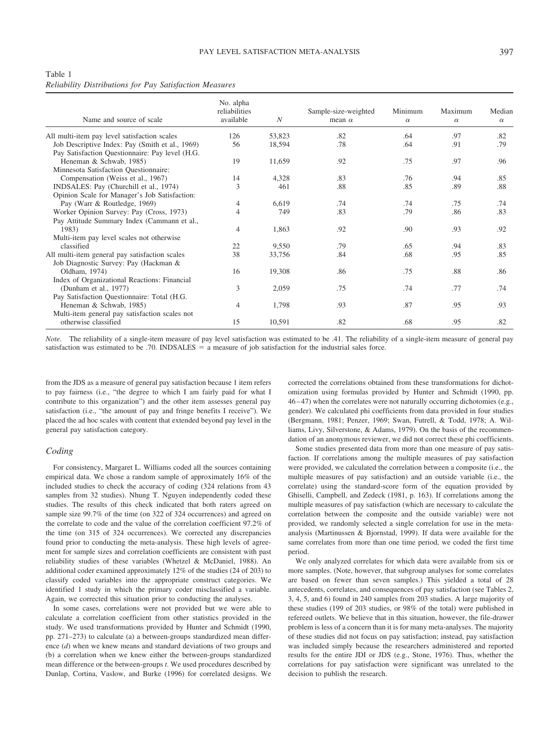| Table 1 |                                                                |  |  |
|---------|----------------------------------------------------------------|--|--|
|         | <b>Reliability Distributions for Pay Satisfaction Measures</b> |  |  |

| Name and source of scale                                                                           | No. alpha<br>reliabilities<br>available | $\boldsymbol{N}$ | Sample-size-weighted<br>mean $\alpha$ | Minimum<br>$\alpha$ | Maximum<br>$\alpha$ | Median<br>$\alpha$ |
|----------------------------------------------------------------------------------------------------|-----------------------------------------|------------------|---------------------------------------|---------------------|---------------------|--------------------|
| All multi-item pay level satisfaction scales                                                       | 126                                     | 53,823           | .82                                   | .64                 | .97                 | .82                |
| Job Descriptive Index: Pay (Smith et al., 1969)<br>Pay Satisfaction Questionnaire: Pay level (H.G. | 56                                      | 18,594           | .78                                   | .64                 | .91                 | .79                |
| Heneman & Schwab, 1985)<br>Minnesota Satisfaction Questionnaire:                                   | 19                                      | 11,659           | .92                                   | .75                 | .97                 | .96                |
| Compensation (Weiss et al., 1967)                                                                  | 14                                      | 4,328            | .83                                   | .76                 | .94                 | .85                |
| INDSALES: Pay (Churchill et al., 1974)<br>Opinion Scale for Manager's Job Satisfaction:            | 3                                       | 461              | .88                                   | .85                 | .89                 | .88                |
| Pay (Warr & Routledge, 1969)                                                                       | 4                                       | 6,619            | .74                                   | .74                 | .75                 | .74                |
| Worker Opinion Survey: Pay (Cross, 1973)<br>Pay Attitude Summary Index (Cammann et al.,            | $\overline{4}$                          | 749              | .83                                   | .79                 | .86                 | .83                |
| 1983)<br>Multi-item pay level scales not otherwise                                                 | 4                                       | 1,863            | .92                                   | .90                 | .93                 | .92                |
| classified                                                                                         | 22                                      | 9,550            | .79                                   | .65                 | .94                 | .83                |
| All multi-item general pay satisfaction scales<br>Job Diagnostic Survey: Pay (Hackman &            | 38                                      | 33,756           | .84                                   | .68                 | .95                 | .85                |
| Oldham, 1974)<br>Index of Organizational Reactions: Financial                                      | 16                                      | 19,308           | .86                                   | .75                 | .88                 | .86                |
| (Dunham et al., 1977)<br>Pay Satisfaction Questionnaire: Total (H.G.                               | 3                                       | 2,059            | .75                                   | .74                 | .77                 | .74                |
| Heneman & Schwab, 1985)<br>Multi-item general pay satisfaction scales not                          | 4                                       | 1,798            | .93                                   | .87                 | .95                 | .93                |
| otherwise classified                                                                               | 15                                      | 10,591           | .82                                   | .68                 | .95                 | .82                |

*Note.* The reliability of a single-item measure of pay level satisfaction was estimated to be .41. The reliability of a single-item measure of general pay satisfaction was estimated to be .70. INDSALES  $=$  a measure of job satisfaction for the industrial sales force.

from the JDS as a measure of general pay satisfaction because 1 item refers to pay fairness (i.e., "the degree to which I am fairly paid for what I contribute to this organization") and the other item assesses general pay satisfaction (i.e., "the amount of pay and fringe benefits I receive"). We placed the ad hoc scales with content that extended beyond pay level in the general pay satisfaction category.

#### *Coding*

For consistency, Margaret L. Williams coded all the sources containing empirical data. We chose a random sample of approximately 16% of the included studies to check the accuracy of coding (324 relations from 43 samples from 32 studies). Nhung T. Nguyen independently coded these studies. The results of this check indicated that both raters agreed on sample size 99.7% of the time (on 322 of 324 occurrences) and agreed on the correlate to code and the value of the correlation coefficient 97.2% of the time (on 315 of 324 occurrences). We corrected any discrepancies found prior to conducting the meta-analysis. These high levels of agreement for sample sizes and correlation coefficients are consistent with past reliability studies of these variables (Whetzel & McDaniel, 1988). An additional coder examined approximately 12% of the studies (24 of 203) to classify coded variables into the appropriate construct categories. We identified 1 study in which the primary coder misclassified a variable. Again, we corrected this situation prior to conducting the analyses.

In some cases, correlations were not provided but we were able to calculate a correlation coefficient from other statistics provided in the study. We used transformations provided by Hunter and Schmidt (1990, pp. 271–273) to calculate (a) a between-groups standardized mean difference (*d*) when we knew means and standard deviations of two groups and (b) a correlation when we knew either the between-groups standardized mean difference or the between-groups *t*. We used procedures described by Dunlap, Cortina, Vaslow, and Burke (1996) for correlated designs. We

corrected the correlations obtained from these transformations for dichotomization using formulas provided by Hunter and Schmidt (1990, pp. 46 – 47) when the correlates were not naturally occurring dichotomies (e.g., gender). We calculated phi coefficients from data provided in four studies (Bergmann, 1981; Penzer, 1969; Swan, Futrell, & Todd, 1978; A. Williams, Livy, Silverstone, & Adams, 1979). On the basis of the recommendation of an anonymous reviewer, we did not correct these phi coefficients.

Some studies presented data from more than one measure of pay satisfaction. If correlations among the multiple measures of pay satisfaction were provided, we calculated the correlation between a composite (i.e., the multiple measures of pay satisfaction) and an outside variable (i.e., the correlate) using the standard-score form of the equation provided by Ghiselli, Campbell, and Zedeck (1981, p. 163). If correlations among the multiple measures of pay satisfaction (which are necessary to calculate the correlation between the composite and the outside variable) were not provided, we randomly selected a single correlation for use in the metaanalysis (Martinussen & Bjornstad, 1999). If data were available for the same correlates from more than one time period, we coded the first time period.

We only analyzed correlates for which data were available from six or more samples. (Note, however, that subgroup analyses for some correlates are based on fewer than seven samples.) This yielded a total of 28 antecedents, correlates, and consequences of pay satisfaction (see Tables 2, 3, 4, 5, and 6) found in 240 samples from 203 studies. A large majority of these studies (199 of 203 studies, or 98% of the total) were published in refereed outlets. We believe that in this situation, however, the file-drawer problem is less of a concern than it is for many meta-analyses. The majority of these studies did not focus on pay satisfaction; instead, pay satisfaction was included simply because the researchers administered and reported results for the entire JDI or JDS (e.g., Stone, 1976). Thus, whether the correlations for pay satisfaction were significant was unrelated to the decision to publish the research.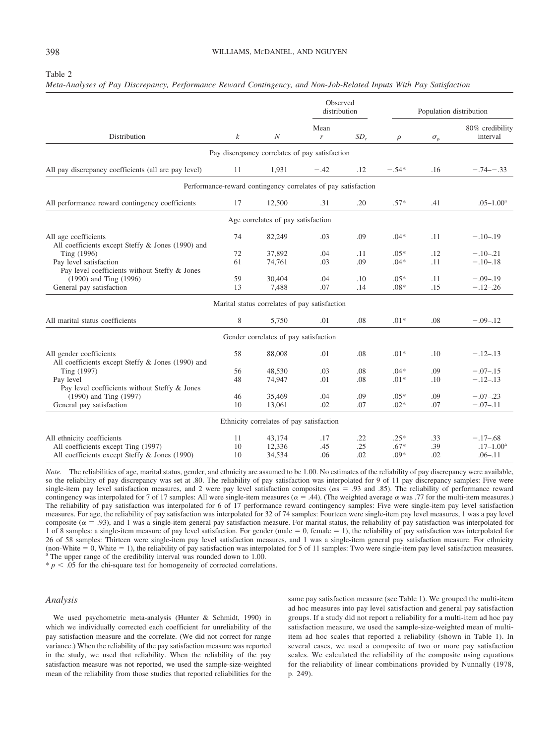#### Table 2

#### *Meta-Analyses of Pay Discrepancy, Performance Reward Contingency, and Non-Job-Related Inputs With Pay Satisfaction*

|                                                                              |                  |                                                               |                        | Observed<br>distribution |         | Population distribution |                             |  |  |
|------------------------------------------------------------------------------|------------------|---------------------------------------------------------------|------------------------|--------------------------|---------|-------------------------|-----------------------------|--|--|
| Distribution                                                                 | $\boldsymbol{k}$ | $\boldsymbol{N}$                                              | Mean<br>$\mathfrak{r}$ | $SD_r$                   | $\rho$  | $\sigma_{\rho}$         | 80% credibility<br>interval |  |  |
|                                                                              |                  | Pay discrepancy correlates of pay satisfaction                |                        |                          |         |                         |                             |  |  |
| All pay discrepancy coefficients (all are pay level)                         | 11               | 1,931                                                         | $-.42$                 | .12                      | $-.54*$ | .16                     | $-.74--.33$                 |  |  |
|                                                                              |                  | Performance-reward contingency correlates of pay satisfaction |                        |                          |         |                         |                             |  |  |
| All performance reward contingency coefficients                              | 17               | 12,500                                                        | .31                    | .20                      | $.57*$  | .41                     | $.05 - 1.00a$               |  |  |
|                                                                              |                  | Age correlates of pay satisfaction                            |                        |                          |         |                         |                             |  |  |
| All age coefficients<br>All coefficients except Steffy & Jones (1990) and    | 74               | 82,249                                                        | .03                    | .09                      | $.04*$  | .11                     | $-.10-.19$                  |  |  |
| Ting (1996)                                                                  | 72               | 37,892                                                        | .04                    | .11                      | $.05*$  | .12                     | $-.10-.21$                  |  |  |
| Pay level satisfaction                                                       | 61               | 74,761                                                        | .03                    | .09                      | $.04*$  | .11                     | $-.10-.18$                  |  |  |
| Pay level coefficients without Steffy & Jones                                |                  |                                                               |                        |                          |         |                         |                             |  |  |
| $(1990)$ and Ting $(1996)$                                                   | 59               | 30,404                                                        | .04                    | .10                      | $.05*$  | .11                     | $-.09-.19$                  |  |  |
| General pay satisfaction                                                     | 13               | 7,488                                                         | .07                    | .14                      | $.08*$  | .15                     | $-.12-.26$                  |  |  |
|                                                                              |                  | Marital status correlates of pay satisfaction                 |                        |                          |         |                         |                             |  |  |
| All marital status coefficients                                              | 8                | 5,750                                                         | .01                    | .08                      | $.01*$  | .08                     | $-.09-.12$                  |  |  |
|                                                                              |                  | Gender correlates of pay satisfaction                         |                        |                          |         |                         |                             |  |  |
| All gender coefficients<br>All coefficients except Steffy & Jones (1990) and | 58               | 88,008                                                        | .01                    | .08                      | $.01*$  | .10                     | $-.12-.13$                  |  |  |
| Ting (1997)                                                                  | 56               | 48,530                                                        | .03                    | .08                      | $.04*$  | .09                     | $-.07-.15$                  |  |  |
| Pay level                                                                    | 48               | 74,947                                                        | .01                    | .08                      | $.01*$  | .10                     | $-.12-.13$                  |  |  |
| Pay level coefficients without Steffy & Jones                                |                  |                                                               |                        |                          |         |                         |                             |  |  |
| (1990) and Ting (1997)                                                       | 46               | 35,469                                                        | .04                    | .09                      | $.05*$  | .09                     | $-.07-.23$                  |  |  |
| General pay satisfaction                                                     | 10               | 13,061                                                        | .02                    | .07                      | $.02*$  | .07                     | $-.07-.11$                  |  |  |
|                                                                              |                  | Ethnicity correlates of pay satisfaction                      |                        |                          |         |                         |                             |  |  |
| All ethnicity coefficients                                                   | 11               | 43,174                                                        | .17                    | .22                      | $.25*$  | .33                     | $-.17-.68$                  |  |  |
| All coefficients except Ting (1997)                                          | 10               | 12,336                                                        | .45                    | .25                      | $.67*$  | .39                     | $.17 - 1.00a$               |  |  |
| All coefficients except Steffy & Jones (1990)                                | 10               | 34.534                                                        | .06                    | .02                      | $.09*$  | .02                     | $.06 - .11$                 |  |  |

*Note.* The reliabilities of age, marital status, gender, and ethnicity are assumed to be 1.00. No estimates of the reliability of pay discrepancy were available, so the reliability of pay discrepancy was set at .80. The reliability of pay satisfaction was interpolated for 9 of 11 pay discrepancy samples: Five were single-item pay level satisfaction measures, and 2 were pay level satisfaction composites ( $\alpha s$  = .93 and .85). The reliability of performance reward contingency was interpolated for 7 of 17 samples: All were single-item measures ( $\alpha = .44$ ). (The weighted average  $\alpha$  was .77 for the multi-item measures.) The reliability of pay satisfaction was interpolated for 6 of 17 performance reward contingency samples: Five were single-item pay level satisfaction measures. For age, the reliability of pay satisfaction was interpolated for 32 of 74 samples: Fourteen were single-item pay level measures, 1 was a pay level composite  $(\alpha = .93)$ , and 1 was a single-item general pay satisfaction measure. For marital status, the reliability of pay satisfaction was interpolated for 1 of 8 samples: a single-item measure of pay level satisfaction. For gender (male = 0, female = 1), the reliability of pay satisfaction was interpolated for 26 of 58 samples: Thirteen were single-item pay level satisfaction measures, and 1 was a single-item general pay satisfaction measure. For ethnicity (non-White = 0, White = 1), the reliability of pay satisfaction was interpolated for 5 of 11 samples: Two were single-item pay level satisfaction measures.<br><sup>a</sup> The upper range of the credibility interval was rounded down

 $* p < .05$  for the chi-square test for homogeneity of corrected correlations.

#### *Analysis*

We used psychometric meta-analysis (Hunter & Schmidt, 1990) in which we individually corrected each coefficient for unreliability of the pay satisfaction measure and the correlate. (We did not correct for range variance.) When the reliability of the pay satisfaction measure was reported in the study, we used that reliability. When the reliability of the pay satisfaction measure was not reported, we used the sample-size-weighted mean of the reliability from those studies that reported reliabilities for the same pay satisfaction measure (see Table 1). We grouped the multi-item ad hoc measures into pay level satisfaction and general pay satisfaction groups. If a study did not report a reliability for a multi-item ad hoc pay satisfaction measure, we used the sample-size-weighted mean of multiitem ad hoc scales that reported a reliability (shown in Table 1). In several cases, we used a composite of two or more pay satisfaction scales. We calculated the reliability of the composite using equations for the reliability of linear combinations provided by Nunnally (1978, p. 249).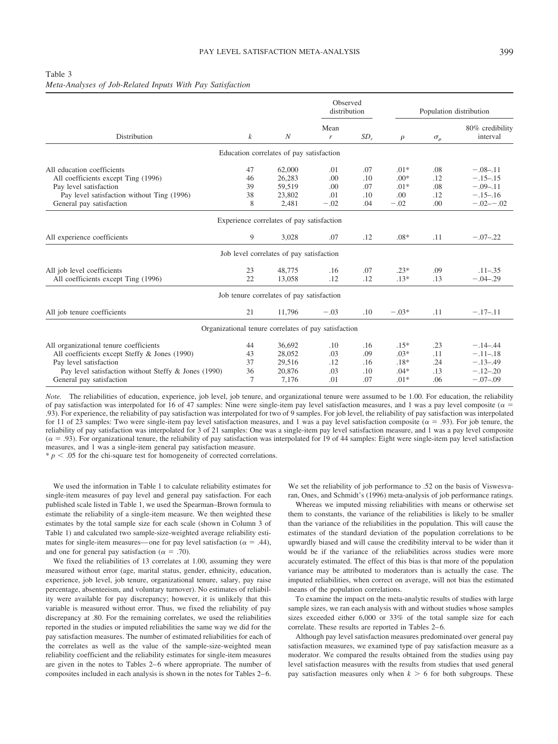| Table 3                                                   |  |  |  |
|-----------------------------------------------------------|--|--|--|
| Meta-Analyses of Job-Related Inputs With Pay Satisfaction |  |  |  |

|                                                                                                                                           |                      |                                                      | Observed<br>distribution |                          |                                   | Population distribution  |                                                      |  |  |
|-------------------------------------------------------------------------------------------------------------------------------------------|----------------------|------------------------------------------------------|--------------------------|--------------------------|-----------------------------------|--------------------------|------------------------------------------------------|--|--|
| Distribution                                                                                                                              | k                    |                                                      | Mean<br>r                | $SD_r$                   | $\rho$                            | $\sigma_{\rho}$          | 80% credibility<br>interval                          |  |  |
|                                                                                                                                           |                      | Education correlates of pay satisfaction             |                          |                          |                                   |                          |                                                      |  |  |
| All education coefficients<br>All coefficients except Ting (1996)<br>Pay level satisfaction<br>Pay level satisfaction without Ting (1996) | 47<br>46<br>39<br>38 | 62,000<br>26,283<br>59,519<br>23,802                 | .01<br>.00<br>.00<br>.01 | .07<br>.10<br>.07<br>.10 | $.01*$<br>$.00*$<br>$.01*$<br>.00 | .08<br>.12<br>.08<br>.12 | $-.08-.11$<br>$-.15-.15$<br>$-.09-.11$<br>$-.15-.16$ |  |  |
| General pay satisfaction                                                                                                                  | 8                    | 2,481                                                | $-.02$                   | .04                      | $-.02$                            | .00                      | $-.02 - .02$                                         |  |  |
|                                                                                                                                           |                      | Experience correlates of pay satisfaction            |                          |                          |                                   |                          |                                                      |  |  |
| All experience coefficients                                                                                                               | 9                    | 3,028                                                | .07                      | .12                      | $.08*$                            | .11                      | $-.07-.22$                                           |  |  |
|                                                                                                                                           |                      | Job level correlates of pay satisfaction             |                          |                          |                                   |                          |                                                      |  |  |
| All job level coefficients<br>All coefficients except Ting (1996)                                                                         | 23<br>22             | 48,775<br>13.058                                     | .16<br>.12               | .07<br>.12               | $.23*$<br>$.13*$                  | .09<br>.13               | $.11 - .35$<br>$-.04-.29$                            |  |  |
|                                                                                                                                           |                      | Job tenure correlates of pay satisfaction            |                          |                          |                                   |                          |                                                      |  |  |
| All job tenure coefficients                                                                                                               | 21                   | 11.796                                               | $-.03$                   | .10                      | $-.03*$                           | .11                      | $-.17-.11$                                           |  |  |
|                                                                                                                                           |                      | Organizational tenure correlates of pay satisfaction |                          |                          |                                   |                          |                                                      |  |  |
| All organizational tenure coefficients<br>All coefficients except Steffy & Jones (1990)<br>Pay level satisfaction                         | 44<br>43<br>37       | 36,692<br>28,052<br>29,516                           | .10<br>.03<br>.12        | .16<br>.09<br>.16        | $.15*$<br>$.03*$<br>$.18*$        | .23<br>.11<br>.24        | $-.14-.44$<br>$-.11-.18$<br>$-.13-.49$               |  |  |
| Pay level satisfaction without Steffy & Jones (1990)<br>General pay satisfaction                                                          | 36<br>7              | 20,876<br>7,176                                      | .03<br>.01               | .10<br>.07               | $.04*$<br>$.01*$                  | .13<br>.06               | $-.12-.20$<br>$-.07-.09$                             |  |  |

*Note.* The reliabilities of education, experience, job level, job tenure, and organizational tenure were assumed to be 1.00. For education, the reliability of pay satisfaction was interpolated for 16 of 47 samples: Nine were single-item pay level satisfaction measures, and 1 was a pay level composite ( $\alpha$  = .93). For experience, the reliability of pay satisfaction was interpolated for two of 9 samples. For job level, the reliability of pay satisfaction was interpolated for 11 of 23 samples: Two were single-item pay level satisfaction measures, and 1 was a pay level satisfaction composite ( $\alpha = .93$ ). For job tenure, the reliability of pay satisfaction was interpolated for 3 of 21 samples: One was a single-item pay level satisfaction measure, and 1 was a pay level composite  $(\alpha = .93)$ . For organizational tenure, the reliability of pay satisfaction was interpolated for 19 of 44 samples: Eight were single-item pay level satisfaction measures, and 1 was a single-item general pay satisfaction measure.

 $* p < .05$  for the chi-square test for homogeneity of corrected correlations.

We used the information in Table 1 to calculate reliability estimates for single-item measures of pay level and general pay satisfaction. For each published scale listed in Table 1, we used the Spearman–Brown formula to estimate the reliability of a single-item measure. We then weighted these estimates by the total sample size for each scale (shown in Column 3 of Table 1) and calculated two sample-size-weighted average reliability estimates for single-item measures—one for pay level satisfaction ( $\alpha = .44$ ), and one for general pay satisfaction ( $\alpha = .70$ ).

We fixed the reliabilities of 13 correlates at 1.00, assuming they were measured without error (age, marital status, gender, ethnicity, education, experience, job level, job tenure, organizational tenure, salary, pay raise percentage, absenteeism, and voluntary turnover). No estimates of reliability were available for pay discrepancy; however, it is unlikely that this variable is measured without error. Thus, we fixed the reliability of pay discrepancy at .80. For the remaining correlates, we used the reliabilities reported in the studies or imputed reliabilities the same way we did for the pay satisfaction measures. The number of estimated reliabilities for each of the correlates as well as the value of the sample-size-weighted mean reliability coefficient and the reliability estimates for single-item measures are given in the notes to Tables 2– 6 where appropriate. The number of composites included in each analysis is shown in the notes for Tables 2–6.

We set the reliability of job performance to .52 on the basis of Viswesvaran, Ones, and Schmidt's (1996) meta-analysis of job performance ratings.

Whereas we imputed missing reliabilities with means or otherwise set them to constants, the variance of the reliabilities is likely to be smaller than the variance of the reliabilities in the population. This will cause the estimates of the standard deviation of the population correlations to be upwardly biased and will cause the credibility interval to be wider than it would be if the variance of the reliabilities across studies were more accurately estimated. The effect of this bias is that more of the population variance may be attributed to moderators than is actually the case. The imputed reliabilities, when correct on average, will not bias the estimated means of the population correlations.

To examine the impact on the meta-analytic results of studies with large sample sizes, we ran each analysis with and without studies whose samples sizes exceeded either 6,000 or 33% of the total sample size for each correlate. These results are reported in Tables 2–6.

Although pay level satisfaction measures predominated over general pay satisfaction measures, we examined type of pay satisfaction measure as a moderator. We compared the results obtained from the studies using pay level satisfaction measures with the results from studies that used general pay satisfaction measures only when  $k > 6$  for both subgroups. These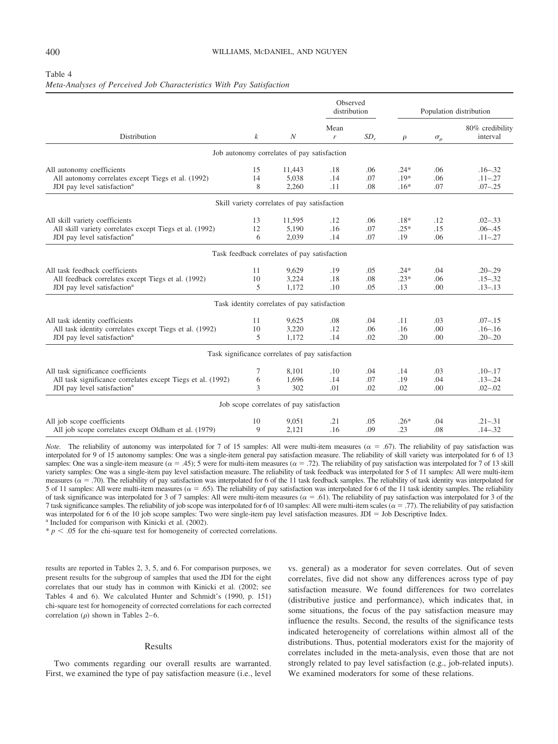#### Table 4

|  |  |  | Meta-Analyses of Perceived Job Characteristics With Pay Satisfaction |  |  |  |
|--|--|--|----------------------------------------------------------------------|--|--|--|
|--|--|--|----------------------------------------------------------------------|--|--|--|

|                                                                                               |                  |                                                  | Observed<br>distribution |            |                  |                 | Population distribution     |
|-----------------------------------------------------------------------------------------------|------------------|--------------------------------------------------|--------------------------|------------|------------------|-----------------|-----------------------------|
| Distribution                                                                                  | $\boldsymbol{k}$ | $\boldsymbol{N}$                                 | Mean<br>$\mathfrak{r}$   | $SD_r$     | $\rho$           | $\sigma_{\rho}$ | 80% credibility<br>interval |
|                                                                                               |                  | Job autonomy correlates of pay satisfaction      |                          |            |                  |                 |                             |
| All autonomy coefficients                                                                     | 15               | 11,443                                           | .18                      | .06        | $.24*$           | .06             | $.16 - .32$                 |
| All autonomy correlates except Tiegs et al. (1992)<br>JDI pay level satisfaction <sup>a</sup> | 14<br>8          | 5,038<br>2,260                                   | .14<br>.11               | .07<br>.08 | $.19*$<br>$.16*$ | .06<br>.07      | $.11 - .27$<br>$.07 - .25$  |
|                                                                                               |                  | Skill variety correlates of pay satisfaction     |                          |            |                  |                 |                             |
| All skill variety coefficients                                                                | 13               | 11,595                                           | .12                      | .06        | $.18*$           | .12             | $.02 - .33$                 |
| All skill variety correlates except Tiegs et al. (1992)                                       | 12               | 5,190                                            | .16                      | .07        | $.25*$           | .15             | $.06 - .45$                 |
| JDI pay level satisfaction <sup>a</sup>                                                       | 6                | 2,039                                            | .14                      | .07        | .19              | .06             | $.11 - .27$                 |
|                                                                                               |                  | Task feedback correlates of pay satisfaction     |                          |            |                  |                 |                             |
| All task feedback coefficients                                                                | 11               | 9,629                                            | .19                      | .05        | $.24*$           | .04             | $.20 - .29$                 |
| All feedback correlates except Tiegs et al. (1992)                                            | 10               | 3,224                                            | .18                      | .08        | $.23*$           | .06             | $.15 - .32$                 |
| JDI pay level satisfaction <sup>a</sup>                                                       | $\overline{5}$   | 1.172                                            | .10                      | .05        | .13              | .00             | $.13 - .13$                 |
|                                                                                               |                  | Task identity correlates of pay satisfaction     |                          |            |                  |                 |                             |
| All task identity coefficients                                                                | 11               | 9,625                                            | .08                      | .04        | .11              | .03             | $.07 - .15$                 |
| All task identity correlates except Tiegs et al. (1992)                                       | 10               | 3,220                                            | .12                      | .06        | .16              | .00             | $.16 - .16$                 |
| JDI pay level satisfaction <sup>a</sup>                                                       | 5                | 1.172                                            | .14                      | .02        | .20              | .00             | $.20 - .20$                 |
|                                                                                               |                  | Task significance correlates of pay satisfaction |                          |            |                  |                 |                             |
| All task significance coefficients                                                            | 7                | 8,101                                            | .10                      | .04        | .14              | .03             | $.10 - .17$                 |
| All task significance correlates except Tiegs et al. (1992)                                   | 6                | 1,696                                            | .14                      | .07        | .19              | .04             | $.13 - .24$                 |
| JDI pay level satisfaction <sup>a</sup>                                                       | 3                | 302                                              | .01                      | .02        | .02              | .00.            | $.02 - .02$                 |
|                                                                                               |                  | Job scope correlates of pay satisfaction         |                          |            |                  |                 |                             |
| All job scope coefficients                                                                    | 10               | 9,051                                            | .21                      | .05        | $.26*$           | .04             | $.21 - .31$                 |
| All job scope correlates except Oldham et al. (1979)                                          | 9                | 2,121                                            | .16                      | .09        | .23              | .08             | $.14 - .32$                 |

*Note.* The reliability of autonomy was interpolated for 7 of 15 samples: All were multi-item measures ( $\alpha = .67$ ). The reliability of pay satisfaction was interpolated for 9 of 15 autonomy samples: One was a single-item general pay satisfaction measure. The reliability of skill variety was interpolated for 6 of 13 samples: One was a single-item measure ( $\alpha = .45$ ); 5 were for multi-item measures ( $\alpha = .72$ ). The reliability of pay satisfaction was interpolated for 7 of 13 skill variety samples: One was a single-item pay level satisfaction measure. The reliability of task feedback was interpolated for 5 of 11 samples: All were multi-item measures ( $\alpha = .70$ ). The reliability of pay satisfaction was interpolated for 6 of the 11 task feedback samples. The reliability of task identity was interpolated for 5 of 11 samples: All were multi-item measures ( $\alpha = .65$ ). The reliability of pay satisfaction was interpolated for 6 of the 11 task identity samples. The reliability of task significance was interpolated for 3 of 7 samples: All were multi-item measures ( $\alpha = .61$ ). The reliability of pay satisfaction was interpolated for 3 of the 7 task significance samples. The reliability of job scope was interpolated for 6 of 10 samples: All were multi-item scales ( $\alpha = .77$ ). The reliability of pay satisfaction was interpolated for 6 of the 10 job scope samples: Two were single-item pay level satisfaction measures. JDI = Job Descriptive Index.  $a$  Included for comparison with Kinicki et al. (2002).

 $* p < .05$  for the chi-square test for homogeneity of corrected correlations.

results are reported in Tables 2, 3, 5, and 6. For comparison purposes, we present results for the subgroup of samples that used the JDI for the eight correlates that our study has in common with Kinicki et al. (2002; see Tables 4 and 6). We calculated Hunter and Schmidt's (1990, p. 151) chi-square test for homogeneity of corrected correlations for each corrected correlation  $(\rho)$  shown in Tables 2–6.

#### Results

Two comments regarding our overall results are warranted. First, we examined the type of pay satisfaction measure (i.e., level vs. general) as a moderator for seven correlates. Out of seven correlates, five did not show any differences across type of pay satisfaction measure. We found differences for two correlates (distributive justice and performance), which indicates that, in some situations, the focus of the pay satisfaction measure may influence the results. Second, the results of the significance tests indicated heterogeneity of correlations within almost all of the distributions. Thus, potential moderators exist for the majority of correlates included in the meta-analysis, even those that are not strongly related to pay level satisfaction (e.g., job-related inputs). We examined moderators for some of these relations.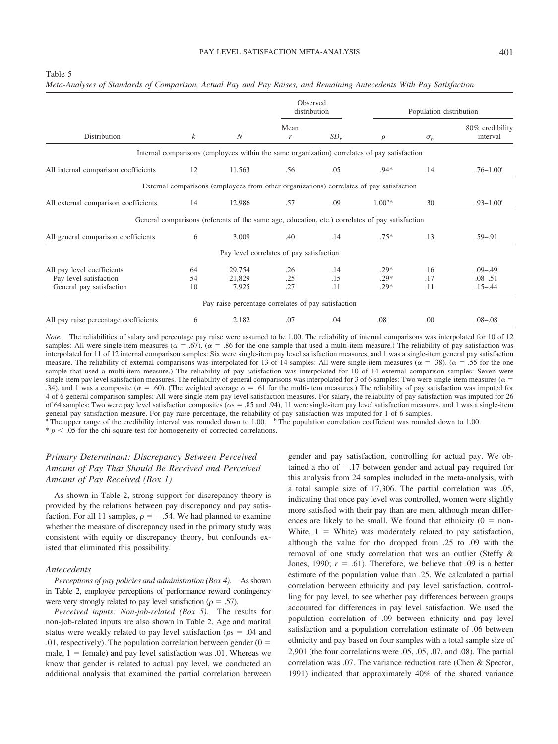#### PAY LEVEL SATISFACTION META-ANALYSIS 401

#### Table 5

|                                                                                  |                |                                                                                                 | Observed<br>distribution                 |                   |                            | Population distribution |                                           |  |  |
|----------------------------------------------------------------------------------|----------------|-------------------------------------------------------------------------------------------------|------------------------------------------|-------------------|----------------------------|-------------------------|-------------------------------------------|--|--|
| Distribution                                                                     | k              | N                                                                                               | Mean<br>r                                | $SD_r$            | $\rho$                     | $\sigma_{\rho}$         | 80% credibility<br>interval               |  |  |
|                                                                                  |                | Internal comparisons (employees within the same organization) correlates of pay satisfaction    |                                          |                   |                            |                         |                                           |  |  |
| All internal comparison coefficients                                             | 12             | 11,563                                                                                          | .56                                      | .05               | $.94*$                     | .14                     | $.76 - 1.00a$                             |  |  |
|                                                                                  |                | External comparisons (employees from other organizations) correlates of pay satisfaction        |                                          |                   |                            |                         |                                           |  |  |
| All external comparison coefficients                                             | 14             | 12,986                                                                                          | .57                                      | .09               | $1.00^{b*}$                | .30                     | $.93 - 1.00a$                             |  |  |
|                                                                                  |                | General comparisons (referents of the same age, education, etc.) correlates of pay satisfaction |                                          |                   |                            |                         |                                           |  |  |
| All general comparison coefficients                                              | 6              | 3,009                                                                                           | .40                                      | .14               | $.75*$                     | .13                     | $.59 - .91$                               |  |  |
|                                                                                  |                |                                                                                                 | Pay level correlates of pay satisfaction |                   |                            |                         |                                           |  |  |
| All pay level coefficients<br>Pay level satisfaction<br>General pay satisfaction | 64<br>54<br>10 | 29,754<br>21,829<br>7,925                                                                       | .26<br>.25<br>.27                        | .14<br>.15<br>.11 | $.29*$<br>$.29*$<br>$.29*$ | .16<br>.17<br>.11       | $.09 - .49$<br>$.08 - .51$<br>$.15 - .44$ |  |  |
|                                                                                  |                | Pay raise percentage correlates of pay satisfaction                                             |                                          |                   |                            |                         |                                           |  |  |
| All pay raise percentage coefficients                                            | 6              | 2,182                                                                                           | .07                                      | .04               | .08                        | .00                     | $.08 - .08$                               |  |  |

*Meta-Analyses of Standards of Comparison, Actual Pay and Pay Raises, and Remaining Antecedents With Pay Satisfaction*

*Note.* The reliabilities of salary and percentage pay raise were assumed to be 1.00. The reliability of internal comparisons was interpolated for 10 of 12 samples: All were single-item measures ( $\alpha = .67$ ). ( $\alpha = .86$  for the one sample that used a multi-item measure.) The reliability of pay satisfaction was interpolated for 11 of 12 internal comparison samples: Six were single-item pay level satisfaction measures, and 1 was a single-item general pay satisfaction measure. The reliability of external comparisons was interpolated for 13 of 14 samples: All were single-item measures ( $\alpha = .38$ ). ( $\alpha = .55$  for the one sample that used a multi-item measure.) The reliability of pay satisfaction was interpolated for 10 of 14 external comparison samples: Seven were single-item pay level satisfaction measures. The reliability of general comparisons was interpolated for 3 of 6 samples: Two were single-item measures ( $\alpha$  = .34), and 1 was a composite ( $\alpha = .60$ ). (The weighted average  $\alpha = .61$  for the multi-item measures.) The reliability of pay satisfaction was imputed for 4 of 6 general comparison samples: All were single-item pay level satisfaction measures. For salary, the reliability of pay satisfaction was imputed for 26 of 64 samples: Two were pay level satisfaction composites ( $\alpha s = .85$  and .94), 11 were single-item pay level satisfaction measures, and 1 was a single-item

general pay satisfaction measure. For pay raise percentage, the reliability of pay satisfaction was imputed for 1 of 6 samples.<br><sup>a</sup> The upper range of the credibility interval was rounded down to 1.00. <sup>b</sup> The population c

 $* p < .05$  for the chi-square test for homogeneity of corrected correlations.

## *Primary Determinant: Discrepancy Between Perceived Amount of Pay That Should Be Received and Perceived Amount of Pay Received (Box 1)*

As shown in Table 2, strong support for discrepancy theory is provided by the relations between pay discrepancy and pay satisfaction. For all 11 samples,  $\rho = -.54$ . We had planned to examine whether the measure of discrepancy used in the primary study was consistent with equity or discrepancy theory, but confounds existed that eliminated this possibility.

#### *Antecedents*

*Perceptions of pay policies and administration (Box 4).* As shown in Table 2, employee perceptions of performance reward contingency were very strongly related to pay level satisfaction ( $\rho = .57$ ).

*Perceived inputs: Non-job-related (Box 5).* The results for non-job-related inputs are also shown in Table 2. Age and marital status were weakly related to pay level satisfaction ( $\rho s = .04$  and .01, respectively). The population correlation between gender  $(0 =$ male,  $1 =$  female) and pay level satisfaction was .01. Whereas we know that gender is related to actual pay level, we conducted an additional analysis that examined the partial correlation between gender and pay satisfaction, controlling for actual pay. We obtained a rho of  $-.17$  between gender and actual pay required for this analysis from 24 samples included in the meta-analysis, with a total sample size of 17,306. The partial correlation was .05, indicating that once pay level was controlled, women were slightly more satisfied with their pay than are men, although mean differences are likely to be small. We found that ethnicity  $(0 = non-$ White,  $1 =$  White) was moderately related to pay satisfaction, although the value for rho dropped from .25 to .09 with the removal of one study correlation that was an outlier (Steffy & Jones, 1990;  $r = .61$ ). Therefore, we believe that .09 is a better estimate of the population value than .25. We calculated a partial correlation between ethnicity and pay level satisfaction, controlling for pay level, to see whether pay differences between groups accounted for differences in pay level satisfaction. We used the population correlation of .09 between ethnicity and pay level satisfaction and a population correlation estimate of .06 between ethnicity and pay based on four samples with a total sample size of 2,901 (the four correlations were .05, .05, .07, and .08). The partial correlation was .07. The variance reduction rate (Chen & Spector, 1991) indicated that approximately 40% of the shared variance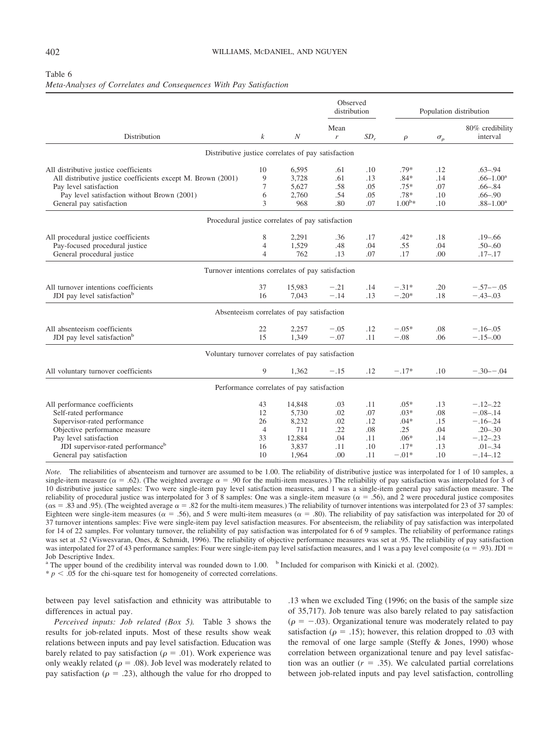#### Table 6

| Meta-Analyses of Correlates and Consequences With Pay Satisfaction |  |  |  |  |
|--------------------------------------------------------------------|--|--|--|--|
|--------------------------------------------------------------------|--|--|--|--|

|                                                                                                                                                                                                            |                                       |                                            | Observed<br>distribution        |                                 |                                                     |                                 | Population distribution                                                     |
|------------------------------------------------------------------------------------------------------------------------------------------------------------------------------------------------------------|---------------------------------------|--------------------------------------------|---------------------------------|---------------------------------|-----------------------------------------------------|---------------------------------|-----------------------------------------------------------------------------|
| Distribution                                                                                                                                                                                               | k                                     | $\boldsymbol{N}$                           | Mean<br>r                       | $SD_r$                          | $\rho$                                              | $\sigma_{\rho}$                 | 80% credibility<br>interval                                                 |
| Distributive justice correlates of pay satisfaction                                                                                                                                                        |                                       |                                            |                                 |                                 |                                                     |                                 |                                                                             |
| All distributive justice coefficients<br>All distributive justice coefficients except M. Brown (2001)<br>Pay level satisfaction<br>Pay level satisfaction without Brown (2001)<br>General pay satisfaction | 10<br>9<br>7<br>6<br>3                | 6,595<br>3,728<br>5,627<br>2,760<br>968    | .61<br>.61<br>.58<br>.54<br>.80 | .10<br>.13<br>.05<br>.05<br>.07 | $.79*$<br>$.84*$<br>$.75*$<br>$.78*$<br>$1.00^{b*}$ | .12<br>.14<br>.07<br>.10<br>.10 | $.63 - .94$<br>$.66 - 1.00a$<br>$.66 - .84$<br>$.66 - .90$<br>$.88 - 1.00a$ |
| Procedural justice correlates of pay satisfaction                                                                                                                                                          |                                       |                                            |                                 |                                 |                                                     |                                 |                                                                             |
| All procedural justice coefficients<br>Pay-focused procedural justice<br>General procedural justice                                                                                                        | 8<br>$\overline{4}$<br>$\overline{4}$ | 2,291<br>1,529<br>762                      | .36<br>.48<br>.13               | .17<br>.04<br>.07               | $.42*$<br>.55<br>.17                                | .18<br>.04<br>.00               | $.19 - .66$<br>$.50 - .60$<br>$.17 - .17$                                   |
| Turnover intentions correlates of pay satisfaction                                                                                                                                                         |                                       |                                            |                                 |                                 |                                                     |                                 |                                                                             |
| All turnover intentions coefficients<br>JDI pay level satisfaction <sup>b</sup>                                                                                                                            | 37<br>16                              | 15,983<br>7,043                            | $-.21$<br>$-.14$                | .14<br>.13                      | $-.31*$<br>$-.20*$                                  | .20<br>.18                      | $-.57--.05$<br>$-.43-.03$                                                   |
|                                                                                                                                                                                                            |                                       | Absenteeism correlates of pay satisfaction |                                 |                                 |                                                     |                                 |                                                                             |
| All absenteeism coefficients<br>JDI pay level satisfaction <sup>b</sup>                                                                                                                                    | 22<br>15                              | 2,257<br>1.349                             | $-.05$<br>$-.07$                | .12<br>.11                      | $-.05*$<br>$-.08$                                   | .08<br>.06                      | $-.16-.05$<br>$-.15-.00$                                                    |
| Voluntary turnover correlates of pay satisfaction                                                                                                                                                          |                                       |                                            |                                 |                                 |                                                     |                                 |                                                                             |
| All voluntary turnover coefficients                                                                                                                                                                        | 9                                     | 1,362                                      | $-.15$                          | .12                             | $-.17*$                                             | .10                             | $-.30--.04$                                                                 |
|                                                                                                                                                                                                            |                                       | Performance correlates of pay satisfaction |                                 |                                 |                                                     |                                 |                                                                             |
| All performance coefficients<br>Self-rated performance<br>Supervisor-rated performance<br>Objective performance measure<br>Pay level satisfaction                                                          | 43<br>12<br>26<br>4<br>33             | 14,848<br>5,730<br>8,232<br>711<br>12,884  | .03<br>.02<br>.02<br>.22<br>.04 | .11<br>.07<br>.12<br>.08<br>.11 | $.05*$<br>$.03*$<br>$.04*$<br>.25<br>$.06*$         | .13<br>.08<br>.15<br>.04<br>.14 | $-.12-.22$<br>$-.08-.14$<br>$-.16-.24$<br>$.20 - .30$<br>$-.12-.23$         |
| JDI supervisor-rated performance <sup>b</sup><br>General pay satisfaction                                                                                                                                  | 16<br>10                              | 3,837<br>1.964                             | .11<br>.00.                     | .10<br>.11                      | $.17*$<br>$-.01*$                                   | .13<br>.10                      | $.01 - .34$<br>$-.14-.12$                                                   |

*Note.* The reliabilities of absenteeism and turnover are assumed to be 1.00. The reliability of distributive justice was interpolated for 1 of 10 samples, a single-item measure ( $\alpha = .62$ ). (The weighted average  $\alpha = .90$  for the multi-item measures.) The reliability of pay satisfaction was interpolated for 3 of 10 distributive justice samples: Two were single-item pay level satisfaction measures, and 1 was a single-item general pay satisfaction measure. The reliability of procedural justice was interpolated for 3 of 8 samples: One was a single-item measure ( $\alpha = .56$ ), and 2 were procedural justice composites  $(\alpha s = .83 \text{ and } .95)$ . (The weighted average  $\alpha = .82$  for the multi-item measures.) The reliability of turnover intentions was interpolated for 23 of 37 samples: Eighteen were single-item measures ( $\alpha$  = .56), and 5 were multi-item measures ( $\alpha$  = .80). The reliability of pay satisfaction was interpolated for 20 of 37 turnover intentions samples: Five were single-item pay level satisfaction measures. For absenteeism, the reliability of pay satisfaction was interpolated for 14 of 22 samples. For voluntary turnover, the reliability of pay satisfaction was interpolated for 6 of 9 samples. The reliability of performance ratings was set at .52 (Viswesvaran, Ones, & Schmidt, 1996). The reliability of objective performance measures was set at .95. The reliability of pay satisfaction was interpolated for 27 of 43 performance samples: Four were single-item pay level satisfaction measures, and 1 was a pay level composite  $(\alpha = .93)$ . JDI = Job Descriptive Index.

<sup>a</sup> The upper bound of the credibility interval was rounded down to 1.00. <sup>b</sup> Included for comparison with Kinicki et al. (2002).

 $* p < .05$  for the chi-square test for homogeneity of corrected correlations.

between pay level satisfaction and ethnicity was attributable to differences in actual pay.

*Perceived inputs: Job related (Box 5).* Table 3 shows the results for job-related inputs. Most of these results show weak relations between inputs and pay level satisfaction. Education was barely related to pay satisfaction ( $\rho = .01$ ). Work experience was only weakly related ( $\rho = .08$ ). Job level was moderately related to pay satisfaction ( $\rho = .23$ ), although the value for rho dropped to

.13 when we excluded Ting (1996; on the basis of the sample size of 35,717). Job tenure was also barely related to pay satisfaction  $(\rho = -.03)$ . Organizational tenure was moderately related to pay satisfaction ( $\rho = .15$ ); however, this relation dropped to .03 with the removal of one large sample (Steffy & Jones, 1990) whose correlation between organizational tenure and pay level satisfaction was an outlier  $(r = .35)$ . We calculated partial correlations between job-related inputs and pay level satisfaction, controlling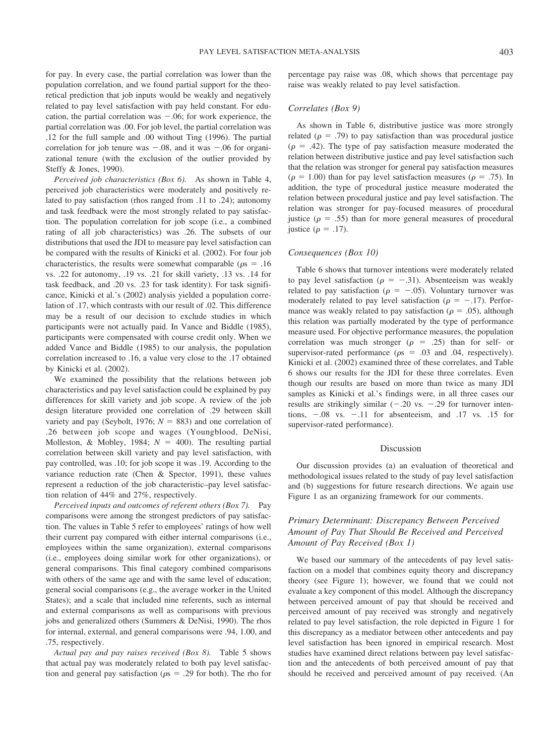for pay. In every case, the partial correlation was lower than the population correlation, and we found partial support for the theoretical prediction that job inputs would be weakly and negatively related to pay level satisfaction with pay held constant. For education, the partial correlation was  $-.06$ ; for work experience, the partial correlation was .00. For job level, the partial correlation was .12 for the full sample and .00 without Ting (1996). The partial correlation for job tenure was  $-.08$ , and it was  $-.06$  for organizational tenure (with the exclusion of the outlier provided by Steffy & Jones, 1990).

*Perceived job characteristics (Box 6).* As shown in Table 4, perceived job characteristics were moderately and positively related to pay satisfaction (rhos ranged from .11 to .24); autonomy and task feedback were the most strongly related to pay satisfaction. The population correlation for job scope (i.e., a combined rating of all job characteristics) was .26. The subsets of our distributions that used the JDI to measure pay level satisfaction can be compared with the results of Kinicki et al. (2002). For four job characteristics, the results were somewhat comparable ( $\rho s = .16$ vs. .22 for autonomy, .19 vs. .21 for skill variety, .13 vs. .14 for task feedback, and .20 vs. .23 for task identity). For task significance, Kinicki et al.'s (2002) analysis yielded a population correlation of .17, which contrasts with our result of .02. This difference may be a result of our decision to exclude studies in which participants were not actually paid. In Vance and Biddle (1985), participants were compensated with course credit only. When we added Vance and Biddle (1985) to our analysis, the population correlation increased to .16, a value very close to the .17 obtained by Kinicki et al. (2002).

We examined the possibility that the relations between job characteristics and pay level satisfaction could be explained by pay differences for skill variety and job scope. A review of the job design literature provided one correlation of .29 between skill variety and pay (Seybolt, 1976;  $N = 883$ ) and one correlation of .26 between job scope and wages (Youngblood, DeNisi, Molleston, & Mobley, 1984;  $N = 400$ ). The resulting partial correlation between skill variety and pay level satisfaction, with pay controlled, was .10; for job scope it was .19. According to the variance reduction rate (Chen & Spector, 1991), these values represent a reduction of the job characteristic–pay level satisfaction relation of 44% and 27%, respectively.

*Perceived inputs and outcomes of referent others (Box 7).* Pay comparisons were among the strongest predictors of pay satisfaction. The values in Table 5 refer to employees' ratings of how well their current pay compared with either internal comparisons (i.e., employees within the same organization), external comparisons (i.e., employees doing similar work for other organizations), or general comparisons. This final category combined comparisons with others of the same age and with the same level of education; general social comparisons (e.g., the average worker in the United States); and a scale that included nine referents, such as internal and external comparisons as well as comparisons with previous jobs and generalized others (Summers & DeNisi, 1990). The rhos for internal, external, and general comparisons were .94, 1.00, and .75, respectively.

*Actual pay and pay raises received (Box 8).* Table 5 shows that actual pay was moderately related to both pay level satisfaction and general pay satisfaction ( $\rho s = .29$  for both). The rho for

percentage pay raise was .08, which shows that percentage pay raise was weakly related to pay level satisfaction.

## *Correlates (Box 9)*

As shown in Table 6, distributive justice was more strongly related ( $\rho = .79$ ) to pay satisfaction than was procedural justice  $(\rho = .42)$ . The type of pay satisfaction measure moderated the relation between distributive justice and pay level satisfaction such that the relation was stronger for general pay satisfaction measures  $(\rho = 1.00)$  than for pay level satisfaction measures ( $\rho = .75$ ). In addition, the type of procedural justice measure moderated the relation between procedural justice and pay level satisfaction. The relation was stronger for pay-focused measures of procedural justice ( $\rho = .55$ ) than for more general measures of procedural justice ( $\rho = .17$ ).

## *Consequences (Box 10)*

Table 6 shows that turnover intentions were moderately related to pay level satisfaction ( $\rho = -.31$ ). Absenteeism was weakly related to pay satisfaction ( $\rho = -.05$ ). Voluntary turnover was moderately related to pay level satisfaction ( $\rho = -.17$ ). Performance was weakly related to pay satisfaction ( $\rho = .05$ ), although this relation was partially moderated by the type of performance measure used. For objective performance measures, the population correlation was much stronger ( $\rho = .25$ ) than for self- or supervisor-rated performance ( $\rho s = .03$  and .04, respectively). Kinicki et al. (2002) examined three of these correlates, and Table 6 shows our results for the JDI for these three correlates. Even though our results are based on more than twice as many JDI samples as Kinicki et al.'s findings were, in all three cases our results are strikingly similar  $(-.20 \text{ vs. } -.29 \text{ for turnover inten-}$ tions,  $-.08$  vs.  $-.11$  for absenteeism, and  $.17$  vs.  $.15$  for supervisor-rated performance).

## Discussion

Our discussion provides (a) an evaluation of theoretical and methodological issues related to the study of pay level satisfaction and (b) suggestions for future research directions. We again use Figure 1 as an organizing framework for our comments.

# *Primary Determinant: Discrepancy Between Perceived Amount of Pay That Should Be Received and Perceived Amount of Pay Received (Box 1)*

We based our summary of the antecedents of pay level satisfaction on a model that combines equity theory and discrepancy theory (see Figure 1); however, we found that we could not evaluate a key component of this model. Although the discrepancy between perceived amount of pay that should be received and perceived amount of pay received was strongly and negatively related to pay level satisfaction, the role depicted in Figure 1 for this discrepancy as a mediator between other antecedents and pay level satisfaction has been ignored in empirical research. Most studies have examined direct relations between pay level satisfaction and the antecedents of both perceived amount of pay that should be received and perceived amount of pay received. (An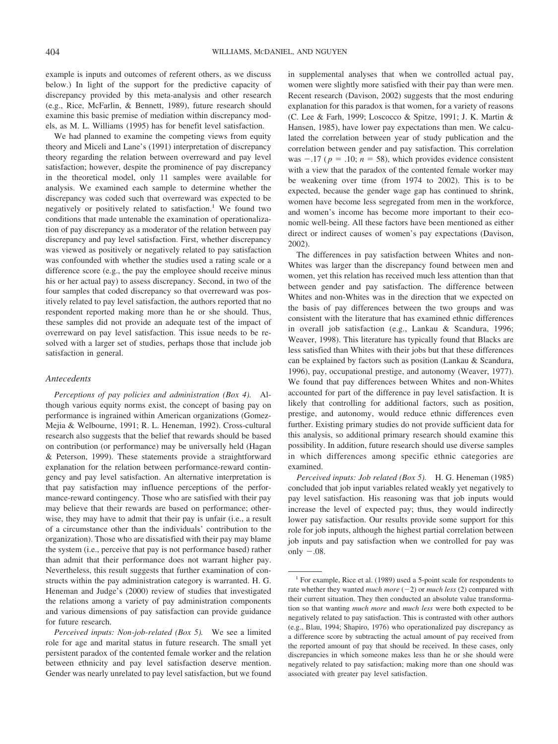example is inputs and outcomes of referent others, as we discuss below.) In light of the support for the predictive capacity of discrepancy provided by this meta-analysis and other research (e.g., Rice, McFarlin, & Bennett, 1989), future research should examine this basic premise of mediation within discrepancy models, as M. L. Williams (1995) has for benefit level satisfaction.

We had planned to examine the competing views from equity theory and Miceli and Lane's (1991) interpretation of discrepancy theory regarding the relation between overreward and pay level satisfaction; however, despite the prominence of pay discrepancy in the theoretical model, only 11 samples were available for analysis. We examined each sample to determine whether the discrepancy was coded such that overreward was expected to be negatively or positively related to satisfaction.<sup>1</sup> We found two conditions that made untenable the examination of operationalization of pay discrepancy as a moderator of the relation between pay discrepancy and pay level satisfaction. First, whether discrepancy was viewed as positively or negatively related to pay satisfaction was confounded with whether the studies used a rating scale or a difference score (e.g., the pay the employee should receive minus his or her actual pay) to assess discrepancy. Second, in two of the four samples that coded discrepancy so that overreward was positively related to pay level satisfaction, the authors reported that no respondent reported making more than he or she should. Thus, these samples did not provide an adequate test of the impact of overreward on pay level satisfaction. This issue needs to be resolved with a larger set of studies, perhaps those that include job satisfaction in general.

#### *Antecedents*

*Perceptions of pay policies and administration (Box 4).* Although various equity norms exist, the concept of basing pay on performance is ingrained within American organizations (Gomez-Mejia & Welbourne, 1991; R. L. Heneman, 1992). Cross-cultural research also suggests that the belief that rewards should be based on contribution (or performance) may be universally held (Hagan & Peterson, 1999). These statements provide a straightforward explanation for the relation between performance-reward contingency and pay level satisfaction. An alternative interpretation is that pay satisfaction may influence perceptions of the performance-reward contingency. Those who are satisfied with their pay may believe that their rewards are based on performance; otherwise, they may have to admit that their pay is unfair (i.e., a result of a circumstance other than the individuals' contribution to the organization). Those who are dissatisfied with their pay may blame the system (i.e., perceive that pay is not performance based) rather than admit that their performance does not warrant higher pay. Nevertheless, this result suggests that further examination of constructs within the pay administration category is warranted. H. G. Heneman and Judge's (2000) review of studies that investigated the relations among a variety of pay administration components and various dimensions of pay satisfaction can provide guidance for future research.

*Perceived inputs: Non-job-related (Box 5).* We see a limited role for age and marital status in future research. The small yet persistent paradox of the contented female worker and the relation between ethnicity and pay level satisfaction deserve mention. Gender was nearly unrelated to pay level satisfaction, but we found in supplemental analyses that when we controlled actual pay, women were slightly more satisfied with their pay than were men. Recent research (Davison, 2002) suggests that the most enduring explanation for this paradox is that women, for a variety of reasons (C. Lee & Farh, 1999; Loscocco & Spitze, 1991; J. K. Martin & Hansen, 1985), have lower pay expectations than men. We calculated the correlation between year of study publication and the correlation between gender and pay satisfaction. This correlation was  $-.17$  ( $p = .10$ ;  $n = 58$ ), which provides evidence consistent with a view that the paradox of the contented female worker may be weakening over time (from 1974 to 2002). This is to be expected, because the gender wage gap has continued to shrink, women have become less segregated from men in the workforce, and women's income has become more important to their economic well-being. All these factors have been mentioned as either direct or indirect causes of women's pay expectations (Davison, 2002).

The differences in pay satisfaction between Whites and non-Whites was larger than the discrepancy found between men and women, yet this relation has received much less attention than that between gender and pay satisfaction. The difference between Whites and non-Whites was in the direction that we expected on the basis of pay differences between the two groups and was consistent with the literature that has examined ethnic differences in overall job satisfaction (e.g., Lankau & Scandura, 1996; Weaver, 1998). This literature has typically found that Blacks are less satisfied than Whites with their jobs but that these differences can be explained by factors such as position (Lankau & Scandura, 1996), pay, occupational prestige, and autonomy (Weaver, 1977). We found that pay differences between Whites and non-Whites accounted for part of the difference in pay level satisfaction. It is likely that controlling for additional factors, such as position, prestige, and autonomy, would reduce ethnic differences even further. Existing primary studies do not provide sufficient data for this analysis, so additional primary research should examine this possibility. In addition, future research should use diverse samples in which differences among specific ethnic categories are examined.

*Perceived inputs: Job related (Box 5).* H. G. Heneman (1985) concluded that job input variables related weakly yet negatively to pay level satisfaction. His reasoning was that job inputs would increase the level of expected pay; thus, they would indirectly lower pay satisfaction. Our results provide some support for this role for job inputs, although the highest partial correlation between job inputs and pay satisfaction when we controlled for pay was only  $-.08$ .

<sup>&</sup>lt;sup>1</sup> For example, Rice et al. (1989) used a 5-point scale for respondents to rate whether they wanted *much more*  $(-2)$  or *much less* (2) compared with their current situation. They then conducted an absolute value transformation so that wanting *much more* and *much less* were both expected to be negatively related to pay satisfaction. This is contrasted with other authors (e.g., Blau, 1994; Shapiro, 1976) who operationalized pay discrepancy as a difference score by subtracting the actual amount of pay received from the reported amount of pay that should be received. In these cases, only discrepancies in which someone makes less than he or she should were negatively related to pay satisfaction; making more than one should was associated with greater pay level satisfaction.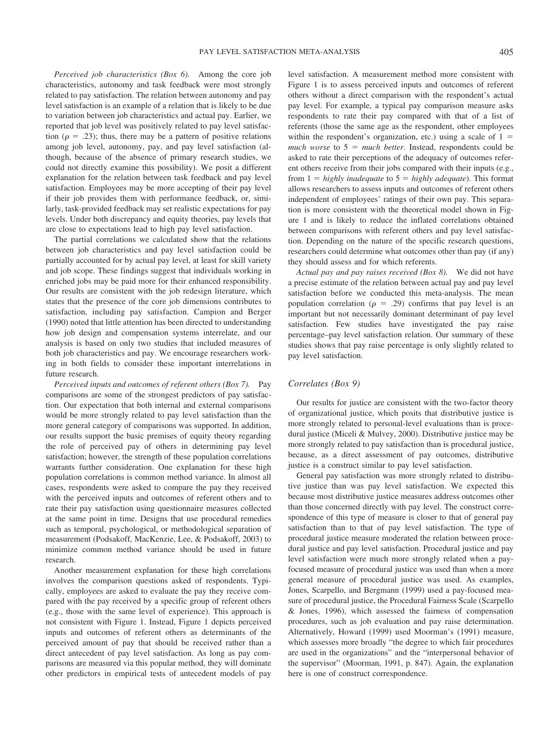*Perceived job characteristics (Box 6).* Among the core job characteristics, autonomy and task feedback were most strongly related to pay satisfaction. The relation between autonomy and pay level satisfaction is an example of a relation that is likely to be due to variation between job characteristics and actual pay. Earlier, we reported that job level was positively related to pay level satisfaction ( $\rho = .23$ ); thus, there may be a pattern of positive relations among job level, autonomy, pay, and pay level satisfaction (although, because of the absence of primary research studies, we could not directly examine this possibility). We posit a different explanation for the relation between task feedback and pay level satisfaction. Employees may be more accepting of their pay level if their job provides them with performance feedback, or, similarly, task-provided feedback may set realistic expectations for pay levels. Under both discrepancy and equity theories, pay levels that are close to expectations lead to high pay level satisfaction.

The partial correlations we calculated show that the relations between job characteristics and pay level satisfaction could be partially accounted for by actual pay level, at least for skill variety and job scope. These findings suggest that individuals working in enriched jobs may be paid more for their enhanced responsibility. Our results are consistent with the job redesign literature, which states that the presence of the core job dimensions contributes to satisfaction, including pay satisfaction. Campion and Berger (1990) noted that little attention has been directed to understanding how job design and compensation systems interrelate, and our analysis is based on only two studies that included measures of both job characteristics and pay. We encourage researchers working in both fields to consider these important interrelations in future research.

*Perceived inputs and outcomes of referent others (Box 7).* Pay comparisons are some of the strongest predictors of pay satisfaction. Our expectation that both internal and external comparisons would be more strongly related to pay level satisfaction than the more general category of comparisons was supported. In addition, our results support the basic premises of equity theory regarding the role of perceived pay of others in determining pay level satisfaction; however, the strength of these population correlations warrants further consideration. One explanation for these high population correlations is common method variance. In almost all cases, respondents were asked to compare the pay they received with the perceived inputs and outcomes of referent others and to rate their pay satisfaction using questionnaire measures collected at the same point in time. Designs that use procedural remedies such as temporal, psychological, or methodological separation of measurement (Podsakoff, MacKenzie, Lee, & Podsakoff, 2003) to minimize common method variance should be used in future research.

Another measurement explanation for these high correlations involves the comparison questions asked of respondents. Typically, employees are asked to evaluate the pay they receive compared with the pay received by a specific group of referent others (e.g., those with the same level of experience). This approach is not consistent with Figure 1. Instead, Figure 1 depicts perceived inputs and outcomes of referent others as determinants of the perceived amount of pay that should be received rather than a direct antecedent of pay level satisfaction. As long as pay comparisons are measured via this popular method, they will dominate other predictors in empirical tests of antecedent models of pay level satisfaction. A measurement method more consistent with Figure 1 is to assess perceived inputs and outcomes of referent others without a direct comparison with the respondent's actual pay level. For example, a typical pay comparison measure asks respondents to rate their pay compared with that of a list of referents (those the same age as the respondent, other employees within the respondent's organization, etc.) using a scale of  $1 =$ *much worse* to  $5 =$  *much better*. Instead, respondents could be asked to rate their perceptions of the adequacy of outcomes referent others receive from their jobs compared with their inputs (e.g., from  $1 =$  *highly inadequate* to  $5 =$  *highly adequate*). This format allows researchers to assess inputs and outcomes of referent others independent of employees' ratings of their own pay. This separation is more consistent with the theoretical model shown in Figure 1 and is likely to reduce the inflated correlations obtained between comparisons with referent others and pay level satisfaction. Depending on the nature of the specific research questions, researchers could determine what outcomes other than pay (if any) they should assess and for which referents.

*Actual pay and pay raises received (Box 8).* We did not have a precise estimate of the relation between actual pay and pay level satisfaction before we conducted this meta-analysis. The mean population correlation ( $\rho = .29$ ) confirms that pay level is an important but not necessarily dominant determinant of pay level satisfaction. Few studies have investigated the pay raise percentage–pay level satisfaction relation. Our summary of these studies shows that pay raise percentage is only slightly related to pay level satisfaction.

#### *Correlates (Box 9)*

Our results for justice are consistent with the two-factor theory of organizational justice, which posits that distributive justice is more strongly related to personal-level evaluations than is procedural justice (Miceli & Mulvey, 2000). Distributive justice may be more strongly related to pay satisfaction than is procedural justice, because, as a direct assessment of pay outcomes, distributive justice is a construct similar to pay level satisfaction.

General pay satisfaction was more strongly related to distributive justice than was pay level satisfaction. We expected this because most distributive justice measures address outcomes other than those concerned directly with pay level. The construct correspondence of this type of measure is closer to that of general pay satisfaction than to that of pay level satisfaction. The type of procedural justice measure moderated the relation between procedural justice and pay level satisfaction. Procedural justice and pay level satisfaction were much more strongly related when a payfocused measure of procedural justice was used than when a more general measure of procedural justice was used. As examples, Jones, Scarpello, and Bergmann (1999) used a pay-focused measure of procedural justice, the Procedural Fairness Scale (Scarpello & Jones, 1996), which assessed the fairness of compensation procedures, such as job evaluation and pay raise determination. Alternatively, Howard (1999) used Moorman's (1991) measure, which assesses more broadly "the degree to which fair procedures are used in the organizations" and the "interpersonal behavior of the supervisor" (Moorman, 1991, p. 847). Again, the explanation here is one of construct correspondence.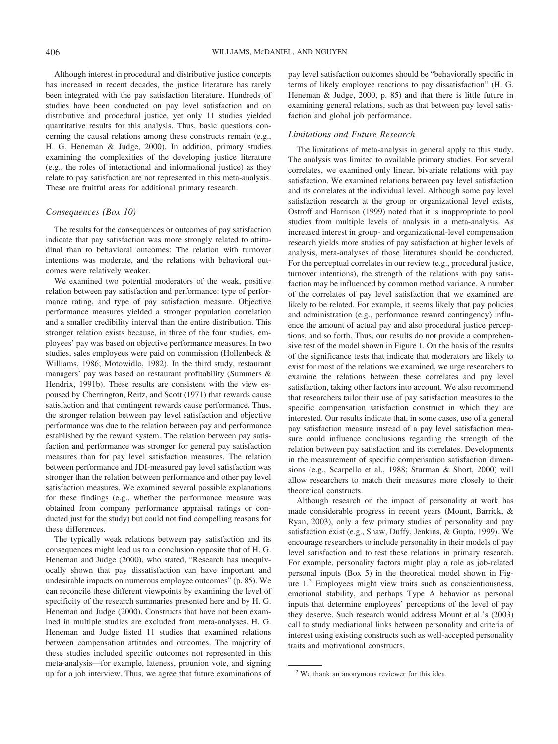Although interest in procedural and distributive justice concepts has increased in recent decades, the justice literature has rarely been integrated with the pay satisfaction literature. Hundreds of studies have been conducted on pay level satisfaction and on distributive and procedural justice, yet only 11 studies yielded quantitative results for this analysis. Thus, basic questions concerning the causal relations among these constructs remain (e.g., H. G. Heneman & Judge, 2000). In addition, primary studies examining the complexities of the developing justice literature (e.g., the roles of interactional and informational justice) as they relate to pay satisfaction are not represented in this meta-analysis. These are fruitful areas for additional primary research.

## *Consequences (Box 10)*

The results for the consequences or outcomes of pay satisfaction indicate that pay satisfaction was more strongly related to attitudinal than to behavioral outcomes: The relation with turnover intentions was moderate, and the relations with behavioral outcomes were relatively weaker.

We examined two potential moderators of the weak, positive relation between pay satisfaction and performance: type of performance rating, and type of pay satisfaction measure. Objective performance measures yielded a stronger population correlation and a smaller credibility interval than the entire distribution. This stronger relation exists because, in three of the four studies, employees' pay was based on objective performance measures. In two studies, sales employees were paid on commission (Hollenbeck & Williams, 1986; Motowidlo, 1982). In the third study, restaurant managers' pay was based on restaurant profitability (Summers & Hendrix, 1991b). These results are consistent with the view espoused by Cherrington, Reitz, and Scott (1971) that rewards cause satisfaction and that contingent rewards cause performance. Thus, the stronger relation between pay level satisfaction and objective performance was due to the relation between pay and performance established by the reward system. The relation between pay satisfaction and performance was stronger for general pay satisfaction measures than for pay level satisfaction measures. The relation between performance and JDI-measured pay level satisfaction was stronger than the relation between performance and other pay level satisfaction measures. We examined several possible explanations for these findings (e.g., whether the performance measure was obtained from company performance appraisal ratings or conducted just for the study) but could not find compelling reasons for these differences.

The typically weak relations between pay satisfaction and its consequences might lead us to a conclusion opposite that of H. G. Heneman and Judge (2000), who stated, "Research has unequivocally shown that pay dissatisfaction can have important and undesirable impacts on numerous employee outcomes" (p. 85). We can reconcile these different viewpoints by examining the level of specificity of the research summaries presented here and by H. G. Heneman and Judge (2000). Constructs that have not been examined in multiple studies are excluded from meta-analyses. H. G. Heneman and Judge listed 11 studies that examined relations between compensation attitudes and outcomes. The majority of these studies included specific outcomes not represented in this meta-analysis—for example, lateness, prounion vote, and signing up for a job interview. Thus, we agree that future examinations of

pay level satisfaction outcomes should be "behaviorally specific in terms of likely employee reactions to pay dissatisfaction" (H. G. Heneman & Judge, 2000, p. 85) and that there is little future in examining general relations, such as that between pay level satisfaction and global job performance.

## *Limitations and Future Research*

The limitations of meta-analysis in general apply to this study. The analysis was limited to available primary studies. For several correlates, we examined only linear, bivariate relations with pay satisfaction. We examined relations between pay level satisfaction and its correlates at the individual level. Although some pay level satisfaction research at the group or organizational level exists, Ostroff and Harrison (1999) noted that it is inappropriate to pool studies from multiple levels of analysis in a meta-analysis. As increased interest in group- and organizational-level compensation research yields more studies of pay satisfaction at higher levels of analysis, meta-analyses of those literatures should be conducted. For the perceptual correlates in our review (e.g., procedural justice, turnover intentions), the strength of the relations with pay satisfaction may be influenced by common method variance. A number of the correlates of pay level satisfaction that we examined are likely to be related. For example, it seems likely that pay policies and administration (e.g., performance reward contingency) influence the amount of actual pay and also procedural justice perceptions, and so forth. Thus, our results do not provide a comprehensive test of the model shown in Figure 1. On the basis of the results of the significance tests that indicate that moderators are likely to exist for most of the relations we examined, we urge researchers to examine the relations between these correlates and pay level satisfaction, taking other factors into account. We also recommend that researchers tailor their use of pay satisfaction measures to the specific compensation satisfaction construct in which they are interested. Our results indicate that, in some cases, use of a general pay satisfaction measure instead of a pay level satisfaction measure could influence conclusions regarding the strength of the relation between pay satisfaction and its correlates. Developments in the measurement of specific compensation satisfaction dimensions (e.g., Scarpello et al., 1988; Sturman & Short, 2000) will allow researchers to match their measures more closely to their theoretical constructs.

Although research on the impact of personality at work has made considerable progress in recent years (Mount, Barrick, & Ryan, 2003), only a few primary studies of personality and pay satisfaction exist (e.g., Shaw, Duffy, Jenkins, & Gupta, 1999). We encourage researchers to include personality in their models of pay level satisfaction and to test these relations in primary research. For example, personality factors might play a role as job-related personal inputs (Box 5) in the theoretical model shown in Figure 1.<sup>2</sup> Employees might view traits such as conscientiousness, emotional stability, and perhaps Type A behavior as personal inputs that determine employees' perceptions of the level of pay they deserve. Such research would address Mount et al.'s (2003) call to study mediational links between personality and criteria of interest using existing constructs such as well-accepted personality traits and motivational constructs.

<sup>2</sup> We thank an anonymous reviewer for this idea.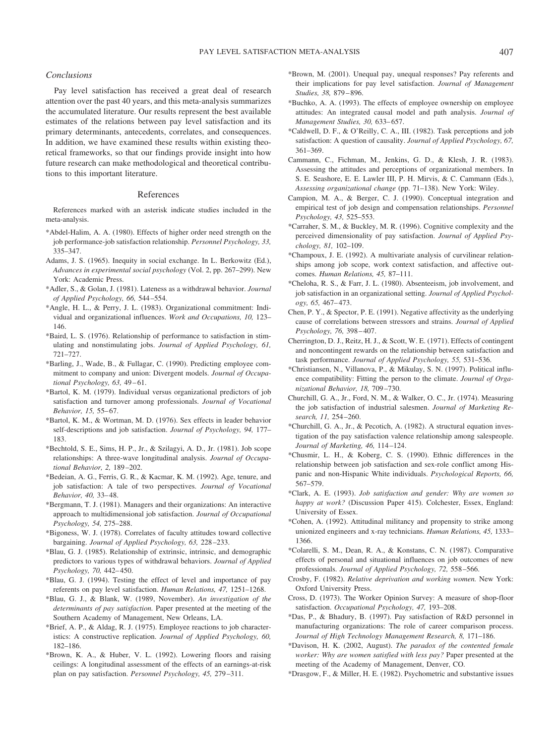## *Conclusions*

Pay level satisfaction has received a great deal of research attention over the past 40 years, and this meta-analysis summarizes the accumulated literature. Our results represent the best available estimates of the relations between pay level satisfaction and its primary determinants, antecedents, correlates, and consequences. In addition, we have examined these results within existing theoretical frameworks, so that our findings provide insight into how future research can make methodological and theoretical contributions to this important literature.

#### References

References marked with an asterisk indicate studies included in the meta-analysis.

- \*Abdel-Halim, A. A. (1980). Effects of higher order need strength on the job performance-job satisfaction relationship. *Personnel Psychology, 33,* 335–347.
- Adams, J. S. (1965). Inequity in social exchange. In L. Berkowitz (Ed.), *Advances in experimental social psychology* (Vol. 2, pp. 267–299). New York: Academic Press.
- \*Adler, S., & Golan, J. (1981). Lateness as a withdrawal behavior. *Journal of Applied Psychology, 66,* 544 –554.
- \*Angle, H. L., & Perry, J. L. (1983). Organizational commitment: Individual and organizational influences. *Work and Occupations, 10,* 123– 146.
- \*Baird, L. S. (1976). Relationship of performance to satisfaction in stimulating and nonstimulating jobs. *Journal of Applied Psychology, 61,* 721–727.
- \*Barling, J., Wade, B., & Fullagar, C. (1990). Predicting employee commitment to company and union: Divergent models. *Journal of Occupational Psychology, 63,* 49 – 61.
- \*Bartol, K. M. (1979). Individual versus organizational predictors of job satisfaction and turnover among professionals. *Journal of Vocational Behavior, 15,* 55– 67.
- \*Bartol, K. M., & Wortman, M. D. (1976). Sex effects in leader behavior self-descriptions and job satisfaction. *Journal of Psychology, 94,* 177– 183.
- \*Bechtold, S. E., Sims, H. P., Jr., & Szilagyi, A. D., Jr. (1981). Job scope relationships: A three-wave longitudinal analysis. *Journal of Occupational Behavior, 2,* 189 –202.
- \*Bedeian, A. G., Ferris, G. R., & Kacmar, K. M. (1992). Age, tenure, and job satisfaction: A tale of two perspectives. *Journal of Vocational Behavior, 40,* 33– 48.
- \*Bergmann, T. J. (1981). Managers and their organizations: An interactive approach to multidimensional job satisfaction. *Journal of Occupational Psychology, 54,* 275–288.
- \*Bigoness, W. J. (1978). Correlates of faculty attitudes toward collective bargaining. *Journal of Applied Psychology, 63,* 228 –233.
- \*Blau, G. J. (1985). Relationship of extrinsic, intrinsic, and demographic predictors to various types of withdrawal behaviors. *Journal of Applied Psychology, 70,* 442– 450.
- \*Blau, G. J. (1994). Testing the effect of level and importance of pay referents on pay level satisfaction. *Human Relations, 47,* 1251–1268.
- \*Blau, G. J., & Blank, W. (1989, November). *An investigation of the determinants of pay satisfaction.* Paper presented at the meeting of the Southern Academy of Management, New Orleans, LA.
- \*Brief, A. P., & Aldag, R. J. (1975). Employee reactions to job characteristics: A constructive replication. *Journal of Applied Psychology, 60,* 182–186.
- \*Brown, K. A., & Huber, V. L. (1992). Lowering floors and raising ceilings: A longitudinal assessment of the effects of an earnings-at-risk plan on pay satisfaction. *Personnel Psychology, 45,* 279 –311.
- \*Brown, M. (2001). Unequal pay, unequal responses? Pay referents and their implications for pay level satisfaction. *Journal of Management Studies, 38,* 879 – 896.
- \*Buchko, A. A. (1993). The effects of employee ownership on employee attitudes: An integrated causal model and path analysis. *Journal of Management Studies, 30,* 633– 657.
- \*Caldwell, D. F., & O'Reilly, C. A., III. (1982). Task perceptions and job satisfaction: A question of causality. *Journal of Applied Psychology, 67,* 361–369.
- Cammann, C., Fichman, M., Jenkins, G. D., & Klesh, J. R. (1983). Assessing the attitudes and perceptions of organizational members. In S. E. Seashore, E. E. Lawler III, P. H. Mirvis, & C. Cammann (Eds.), *Assessing organizational change* (pp. 71–138). New York: Wiley.
- Campion, M. A., & Berger, C. J. (1990). Conceptual integration and empirical test of job design and compensation relationships. *Personnel Psychology, 43,* 525–553.
- \*Carraher, S. M., & Buckley, M. R. (1996). Cognitive complexity and the perceived dimensionality of pay satisfaction. *Journal of Applied Psychology, 81,* 102–109.
- \*Champoux, J. E. (1992). A multivariate analysis of curvilinear relationships among job scope, work context satisfaction, and affective outcomes. *Human Relations, 45,* 87–111.
- \*Cheloha, R. S., & Farr, J. L. (1980). Absenteeism, job involvement, and job satisfaction in an organizational setting. *Journal of Applied Psychology, 65,* 467– 473.
- Chen, P. Y., & Spector, P. E. (1991). Negative affectivity as the underlying cause of correlations between stressors and strains. *Journal of Applied Psychology, 76,* 398 – 407.
- Cherrington, D. J., Reitz, H. J., & Scott, W. E. (1971). Effects of contingent and noncontingent rewards on the relationship between satisfaction and task performance. *Journal of Applied Psychology, 55,* 531–536.
- \*Christiansen, N., Villanova, P., & Mikulay, S. N. (1997). Political influence compatibility: Fitting the person to the climate. *Journal of Organizational Behavior, 18,* 709 –730.
- Churchill, G. A., Jr., Ford, N. M., & Walker, O. C., Jr. (1974). Measuring the job satisfaction of industrial salesmen. *Journal of Marketing Research, 11,* 254 –260.
- \*Churchill, G. A., Jr., & Pecotich, A. (1982). A structural equation investigation of the pay satisfaction valence relationship among salespeople. *Journal of Marketing, 46,* 114 –124.
- \*Chusmir, L. H., & Koberg, C. S. (1990). Ethnic differences in the relationship between job satisfaction and sex-role conflict among Hispanic and non-Hispanic White individuals. *Psychological Reports, 66,* 567–579.
- \*Clark, A. E. (1993). *Job satisfaction and gender: Why are women so happy at work?* (Discussion Paper 415). Colchester, Essex, England: University of Essex.
- \*Cohen, A. (1992). Attitudinal militancy and propensity to strike among unionized engineers and x-ray technicians. *Human Relations, 45,* 1333– 1366.
- \*Colarelli, S. M., Dean, R. A., & Konstans, C. N. (1987). Comparative effects of personal and situational influences on job outcomes of new professionals. *Journal of Applied Psychology, 72,* 558 –566.
- Crosby, F. (1982). *Relative deprivation and working women.* New York: Oxford University Press.
- Cross, D. (1973). The Worker Opinion Survey: A measure of shop-floor satisfaction. *Occupational Psychology, 47,* 193–208.
- \*Das, P., & Bhadury, B. (1997). Pay satisfaction of R&D personnel in manufacturing organizations: The role of career comparison process. *Journal of High Technology Management Research, 8,* 171–186.
- \*Davison, H. K. (2002, August). *The paradox of the contented female worker: Why are women satisfied with less pay?* Paper presented at the meeting of the Academy of Management, Denver, CO.
- \*Drasgow, F., & Miller, H. E. (1982). Psychometric and substantive issues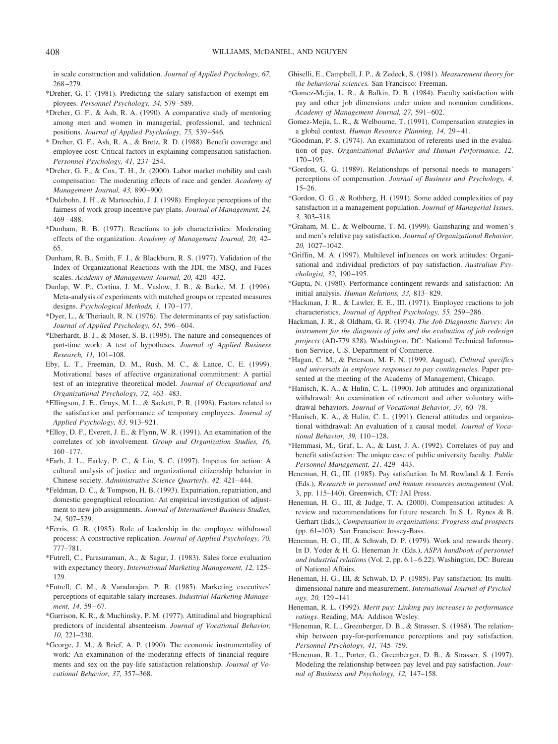in scale construction and validation. *Journal of Applied Psychology, 67,* 268 –279.

- \*Dreher, G. F. (1981). Predicting the salary satisfaction of exempt employees. *Personnel Psychology, 34,* 579 –589.
- \*Dreher, G. F., & Ash, R. A. (1990). A comparative study of mentoring among men and women in managerial, professional, and technical positions. *Journal of Applied Psychology, 75,* 539 –546.
- \* Dreher, G. F., Ash, R. A., & Bretz, R. D. (1988). Benefit coverage and employee cost: Critical factors in explaining compensation satisfaction. *Personnel Psychology, 41,* 237–254.
- \*Dreher, G. F., & Cox, T. H., Jr. (2000). Labor market mobility and cash compensation: The moderating effects of race and gender. *Academy of Management Journal, 43,* 890 –900.
- \*Dulebohn, J. H., & Martocchio, J. J. (1998). Employee perceptions of the fairness of work group incentive pay plans. *Journal of Management, 24,*  $469 - 488.$
- \*Dunham, R. B. (1977). Reactions to job characteristics: Moderating effects of the organization. *Academy of Management Journal, 20,* 42– 65.
- Dunham, R. B., Smith, F. J., & Blackburn, R. S. (1977). Validation of the Index of Organizational Reactions with the JDI, the MSQ, and Faces scales. *Academy of Management Journal*, 20, 420-432.
- Dunlap, W. P., Cortina, J. M., Vaslow, J. B., & Burke, M. J. (1996). Meta-analysis of experiments with matched groups or repeated measures designs. *Psychological Methods, 1,* 170-177.
- \*Dyer, L., & Theriault, R. N. (1976). The determinants of pay satisfaction. *Journal of Applied Psychology, 61,* 596 – 604.
- \*Eberhardt, B. J., & Moser, S. B. (1995). The nature and consequences of part-time work: A test of hypotheses. *Journal of Applied Business Research, 11,* 101–108.
- Eby, L. T., Freeman, D. M., Rush, M. C., & Lance, C. E. (1999). Motivational bases of affective organizational commitment: A partial test of an integrative theoretical model. *Journal of Occupational and Organizational Psychology, 72,* 463– 483.
- \*Ellingson, J. E., Gruys, M. L., & Sackett, P. R. (1998). Factors related to the satisfaction and performance of temporary employees. *Journal of Applied Psychology, 83,* 913–921.
- \*Elloy, D. F., Everett, J. E., & Flynn, W. R. (1991). An examination of the correlates of job involvement. *Group and Organization Studies, 16,*  $160 - 177$ .
- \*Farh, J. L., Earley, P. C., & Lin, S. C. (1997). Impetus for action: A cultural analysis of justice and organizational citizenship behavior in Chinese society. *Administrative Science Quarterly, 42, 421-444*.
- \*Feldman, D. C., & Tompson, H. B. (1993). Expatriation, repatriation, and domestic geographical relocation: An empirical investigation of adjustment to new job assignments. *Journal of International Business Studies, 24,* 507–529.
- \*Ferris, G. R. (1985). Role of leadership in the employee withdrawal process: A constructive replication. *Journal of Applied Psychology, 70,* 777–781.
- \*Futrell, C., Parasuraman, A., & Sagar, J. (1983). Sales force evaluation with expectancy theory. *International Marketing Management, 12,* 125– 129.
- \*Futrell, C. M., & Varadarajan, P. R. (1985). Marketing executives' perceptions of equitable salary increases. *Industrial Marketing Management, 14,* 59 – 67.
- \*Garrison, K. R., & Muchinsky, P. M. (1977). Attitudinal and biographical predictors of incidental absenteeism. *Journal of Vocational Behavior, 10,* 221–230.
- \*George, J. M., & Brief, A. P. (1990). The economic instrumentality of work: An examination of the moderating effects of financial requirements and sex on the pay-life satisfaction relationship. *Journal of Vocational Behavior, 37,* 357–368.
- Ghiselli, E., Campbell, J. P., & Zedeck, S. (1981). *Measurement theory for the behavioral sciences.* San Francisco: Freeman.
- \*Gomez-Mejia, L. R., & Balkin, D. B. (1984). Faculty satisfaction with pay and other job dimensions under union and nonunion conditions. *Academy of Management Journal, 27,* 591– 602.
- Gomez-Mejia, L. R., & Welbourne, T. (1991). Compensation strategies in a global context. *Human Resource Planning, 14,* 29 – 41.
- \*Goodman, P. S. (1974). An examination of referents used in the evaluation of pay. *Organizational Behavior and Human Performance, 12,*  $170 - 195$
- \*Gordon, G. G. (1989). Relationships of personal needs to managers' perceptions of compensation. *Journal of Business and Psychology, 4,* 15–26.
- \*Gordon, G. G., & Rothberg, H. (1991). Some added complexities of pay satisfaction in a management population. *Journal of Managerial Issues, 3,* 303–318.
- \*Graham, M. E., & Welbourne, T. M. (1999). Gainsharing and women's and men's relative pay satisfaction. *Journal of Organizational Behavior, 20,* 1027–1042.
- \*Griffin, M. A. (1997). Multilevel influences on work attitudes: Organisational and individual predictors of pay satisfaction. *Australian Psychologist, 32,* 190 –195.
- \*Gupta, N. (1980). Performance-contingent rewards and satisfaction: An initial analysis. *Human Relations, 33,* 813– 829.
- \*Hackman, J. R., & Lawler, E. E., III. (1971). Employee reactions to job characteristics. *Journal of Applied Psychology, 55,* 259 –286.
- Hackman, J. R., & Oldham, G. R. (1974). *The Job Diagnostic Survey: An instrument for the diagnosis of jobs and the evaluation of job redesign projects* (AD-779 828). Washington, DC: National Technical Information Service, U.S. Department of Commerce.
- \*Hagan, C. M., & Peterson, M. F. N. (1999, August). *Cultural specifics and universals in employee responses to pay contingencies.* Paper presented at the meeting of the Academy of Management, Chicago.
- \*Hanisch, K. A., & Hulin, C. L. (1990). Job attitudes and organizational withdrawal: An examination of retirement and other voluntary withdrawal behaviors. *Journal of Vocational Behavior*, 37, 60-78.
- \*Hanisch, K. A., & Hulin, C. L. (1991). General attitudes and organizational withdrawal: An evaluation of a causal model. *Journal of Vocational Behavior, 39,* 110 –128.
- \*Hemmasi, M., Graf, L. A., & Lust, J. A. (1992). Correlates of pay and benefit satisfaction: The unique case of public university faculty. *Public Personnel Management, 21,* 429 – 443.
- Heneman, H. G., III. (1985). Pay satisfaction. In M. Rowland & J. Ferris (Eds.), *Research in personnel and human resources management* (Vol. 3, pp. 115–140). Greenwich, CT: JAI Press.
- Heneman, H. G., III, & Judge, T. A. (2000). Compensation attitudes: A review and recommendations for future research. In S. L. Rynes & B. Gerhart (Eds.), *Compensation in organizations: Progress and prospects* (pp. 61–103). San Francisco: Jossey-Bass.
- Heneman, H. G., III, & Schwab, D. P. (1979). Work and rewards theory. In D. Yoder & H. G. Heneman Jr. (Eds.), *ASPA handbook of personnel* and industrial relations (Vol. 2, pp. 6.1-6.22). Washington, DC: Bureau of National Affairs.
- Heneman, H. G., III, & Schwab, D. P. (1985). Pay satisfaction: Its multidimensional nature and measurement. *International Journal of Psychology, 20,* 129 –141.
- Heneman, R. L. (1992). *Merit pay: Linking pay increases to performance ratings.* Reading, MA: Addison Wesley.
- \*Heneman, R. L., Greenberger, D. B., & Strasser, S. (1988). The relationship between pay-for-performance perceptions and pay satisfaction. *Personnel Psychology, 41,* 745–759.
- \*Heneman, R. L., Porter, G., Greenberger, D. B., & Strasser, S. (1997). Modeling the relationship between pay level and pay satisfaction. *Journal of Business and Psychology, 12,* 147–158.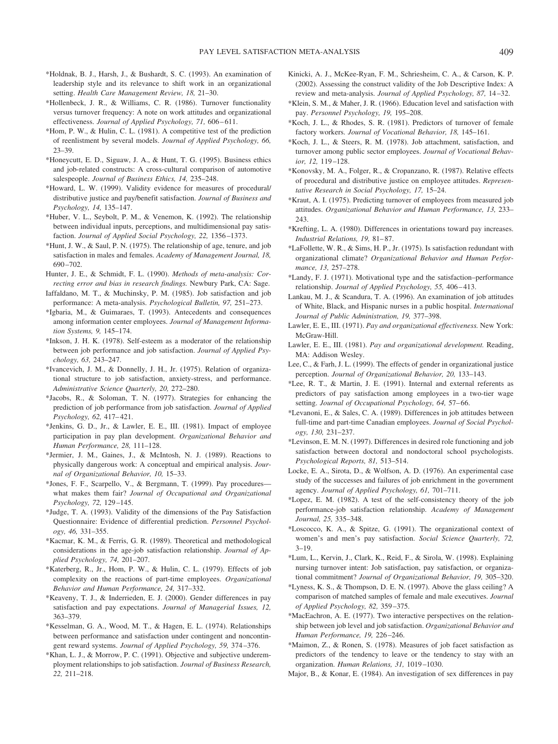- \*Holdnak, B. J., Harsh, J., & Bushardt, S. C. (1993). An examination of leadership style and its relevance to shift work in an organizational setting. *Health Care Management Review, 18,* 21–30.
- \*Hollenbeck, J. R., & Williams, C. R. (1986). Turnover functionality versus turnover frequency: A note on work attitudes and organizational effectiveness. *Journal of Applied Psychology, 71, 606-611.*
- \*Hom, P. W., & Hulin, C. L. (1981). A competitive test of the prediction of reenlistment by several models. *Journal of Applied Psychology, 66,* 23–39.
- \*Honeycutt, E. D., Siguaw, J. A., & Hunt, T. G. (1995). Business ethics and job-related constructs: A cross-cultural comparison of automotive salespeople. *Journal of Business Ethics, 14,* 235–248.
- \*Howard, L. W. (1999). Validity evidence for measures of procedural/ distributive justice and pay/benefit satisfaction. *Journal of Business and Psychology, 14,* 135–147.
- \*Huber, V. L., Seybolt, P. M., & Venemon, K. (1992). The relationship between individual inputs, perceptions, and multidimensional pay satisfaction. *Journal of Applied Social Psychology, 22,* 1356 –1373.
- \*Hunt, J. W., & Saul, P. N. (1975). The relationship of age, tenure, and job satisfaction in males and females. *Academy of Management Journal, 18,* 690 –702.
- Hunter, J. E., & Schmidt, F. L. (1990). *Methods of meta-analysis: Correcting error and bias in research findings.* Newbury Park, CA: Sage.
- Iaffaldano, M. T., & Muchinsky, P. M. (1985). Job satisfaction and job performance: A meta-analysis. *Psychological Bulletin, 97,* 251–273.
- \*Igbaria, M., & Guimaraes, T. (1993). Antecedents and consequences among information center employees. *Journal of Management Information Systems, 9,* 145–174.
- \*Inkson, J. H. K. (1978). Self-esteem as a moderator of the relationship between job performance and job satisfaction. *Journal of Applied Psychology, 63,* 243–247.
- \*Ivancevich, J. M., & Donnelly, J. H., Jr. (1975). Relation of organizational structure to job satisfaction, anxiety-stress, and performance. *Administrative Science Quarterly, 20,* 272–280.
- \*Jacobs, R., & Soloman, T. N. (1977). Strategies for enhancing the prediction of job performance from job satisfaction. *Journal of Applied Psychology, 62,* 417– 421.
- \*Jenkins, G. D., Jr., & Lawler, E. E., III. (1981). Impact of employee participation in pay plan development. *Organizational Behavior and Human Performance, 28,* 111–128.
- \*Jermier, J. M., Gaines, J., & McIntosh, N. J. (1989). Reactions to physically dangerous work: A conceptual and empirical analysis. *Journal of Organizational Behavior, 10,* 15–33.
- \*Jones, F. F., Scarpello, V., & Bergmann, T. (1999). Pay procedures what makes them fair? *Journal of Occupational and Organizational Psychology, 72,* 129 –145.
- \*Judge, T. A. (1993). Validity of the dimensions of the Pay Satisfaction Questionnaire: Evidence of differential prediction. *Personnel Psychology, 46,* 331–355.
- \*Kacmar, K. M., & Ferris, G. R. (1989). Theoretical and methodological considerations in the age-job satisfaction relationship. *Journal of Applied Psychology, 74,* 201–207.
- \*Katerberg, R., Jr., Hom, P. W., & Hulin, C. L. (1979). Effects of job complexity on the reactions of part-time employees. *Organizational Behavior and Human Performance, 24,* 317–332.
- \*Keaveny, T. J., & Inderrieden, E. J. (2000). Gender differences in pay satisfaction and pay expectations. *Journal of Managerial Issues, 12,* 363–379.
- \*Kesselman, G. A., Wood, M. T., & Hagen, E. L. (1974). Relationships between performance and satisfaction under contingent and noncontingent reward systems. *Journal of Applied Psychology, 59,* 374 –376.
- \*Khan, L. J., & Morrow, P. C. (1991). Objective and subjective underemployment relationships to job satisfaction. *Journal of Business Research, 22,* 211–218.
- Kinicki, A. J., McKee-Ryan, F. M., Schriesheim, C. A., & Carson, K. P. (2002). Assessing the construct validity of the Job Descriptive Index: A review and meta-analysis. *Journal of Applied Psychology, 87,* 14 –32.
- \*Klein, S. M., & Maher, J. R. (1966). Education level and satisfaction with pay. *Personnel Psychology, 19,* 195–208.
- \*Koch, J. L., & Rhodes, S. R. (1981). Predictors of turnover of female factory workers. *Journal of Vocational Behavior, 18,* 145–161.
- \*Koch, J. L., & Steers, R. M. (1978). Job attachment, satisfaction, and turnover among public sector employees. *Journal of Vocational Behavior, 12,* 119 –128.
- \*Konovsky, M. A., Folger, R., & Cropanzano, R. (1987). Relative effects of procedural and distributive justice on employee attitudes. *Representative Research in Social Psychology, 17,* 15–24.
- \*Kraut, A. I. (1975). Predicting turnover of employees from measured job attitudes. *Organizational Behavior and Human Performance, 13,* 233– 243.
- \*Krefting, L. A. (1980). Differences in orientations toward pay increases. *Industrial Relations, 19,* 81– 87.
- \*LaFollette, W. R., & Sims, H. P., Jr. (1975). Is satisfaction redundant with organizational climate? *Organizational Behavior and Human Performance, 13,* 257–278.
- \*Landy, F. J. (1971). Motivational type and the satisfaction–performance relationship. *Journal of Applied Psychology, 55,* 406 – 413.
- Lankau, M. J., & Scandura, T. A. (1996). An examination of job attitudes of White, Black, and Hispanic nurses in a public hospital. *International Journal of Public Administration, 19,* 377–398.
- Lawler, E. E., III. (1971). *Pay and organizational effectiveness.* New York: McGraw-Hill.
- Lawler, E. E., III. (1981). *Pay and organizational development.* Reading, MA: Addison Wesley.
- Lee, C., & Farh, J. L. (1999). The effects of gender in organizational justice perception. *Journal of Organizational Behavior, 20,* 133–143.
- \*Lee, R. T., & Martin, J. E. (1991). Internal and external referents as predictors of pay satisfaction among employees in a two-tier wage setting. Journal of Occupational Psychology, 64, 57-66.
- \*Levanoni, E., & Sales, C. A. (1989). Differences in job attitudes between full-time and part-time Canadian employees. *Journal of Social Psychology, 130,* 231–237.
- \*Levinson, E. M. N. (1997). Differences in desired role functioning and job satisfaction between doctoral and nondoctoral school psychologists. *Psychological Reports, 81,* 513–514.
- Locke, E. A., Sirota, D., & Wolfson, A. D. (1976). An experimental case study of the successes and failures of job enrichment in the government agency. *Journal of Applied Psychology, 61,* 701–711.
- \*Lopez, E. M. (1982). A test of the self-consistency theory of the job performance-job satisfaction relationship. *Academy of Management Journal, 25,* 335–348.
- \*Loscocco, K. A., & Spitze, G. (1991). The organizational context of women's and men's pay satisfaction. *Social Science Quarterly, 72,* 3–19.
- \*Lum, L., Kervin, J., Clark, K., Reid, F., & Sirola, W. (1998). Explaining nursing turnover intent: Job satisfaction, pay satisfaction, or organizational commitment? *Journal of Organizational Behavior, 19,* 305–320.
- \*Lyness, K. S., & Thompson, D. E. N. (1997). Above the glass ceiling? A comparison of matched samples of female and male executives. *Journal of Applied Psychology, 82,* 359 –375.
- \*MacEachron, A. E. (1977). Two interactive perspectives on the relationship between job level and job satisfaction. *Organizational Behavior and Human Performance, 19,* 226 –246.
- \*Maimon, Z., & Ronen, S. (1978). Measures of job facet satisfaction as predictors of the tendency to leave or the tendency to stay with an organization. *Human Relations, 31,* 1019 –1030.
- Major, B., & Konar, E. (1984). An investigation of sex differences in pay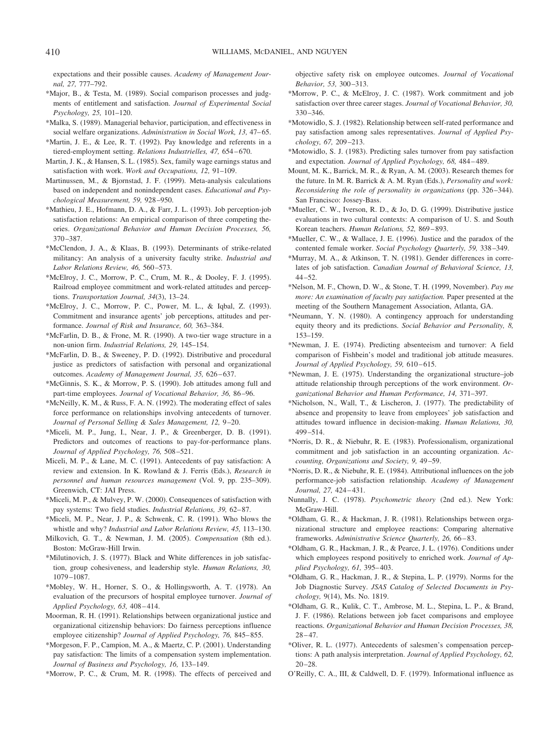expectations and their possible causes. *Academy of Management Journal, 27,* 777–792.

- \*Major, B., & Testa, M. (1989). Social comparison processes and judgments of entitlement and satisfaction. *Journal of Experimental Social Psychology, 25,* 101–120.
- \*Malka, S. (1989). Managerial behavior, participation, and effectiveness in social welfare organizations. *Administration in Social Work, 13, 47–65.*
- \*Martin, J. E., & Lee, R. T. (1992). Pay knowledge and referents in a tiered-employment setting. *Relations Industrielles*, 47, 654–670.
- Martin, J. K., & Hansen, S. L. (1985). Sex, family wage earnings status and satisfaction with work. *Work and Occupations, 12,* 91–109.
- Martinussen, M., & Bjornstad, J. F. (1999). Meta-analysis calculations based on independent and nonindependent cases. *Educational and Psychological Measurement, 59,* 928 –950.
- \*Mathieu, J. E., Hofmann, D. A., & Farr, J. L. (1993). Job perception-job satisfaction relations: An empirical comparison of three competing theories. *Organizational Behavior and Human Decision Processes, 56,* 370 –387.
- \*McClendon, J. A., & Klaas, B. (1993). Determinants of strike-related militancy: An analysis of a university faculty strike. *Industrial and Labor Relations Review, 46,* 560 –573.
- \*McElroy, J. C., Morrow, P. C., Crum, M. R., & Dooley, F. J. (1995). Railroad employee commitment and work-related attitudes and perceptions. *Transportation Journal, 34*(3), 13–24.
- \*McElroy, J. C., Morrow, P. C., Power, M. L., & Iqbal, Z. (1993). Commitment and insurance agents' job perceptions, attitudes and performance. *Journal of Risk and Insurance, 60,* 363–384.
- \*McFarlin, D. B., & Frone, M. R. (1990). A two-tier wage structure in a non-union firm. *Industrial Relations, 29,* 145–154.
- \*McFarlin, D. B., & Sweeney, P. D. (1992). Distributive and procedural justice as predictors of satisfaction with personal and organizational outcomes. *Academy of Management Journal, 35,* 626 – 637.
- \*McGinnis, S. K., & Morrow, P. S. (1990). Job attitudes among full and part-time employees. *Journal of Vocational Behavior, 36,* 86 –96.
- \*McNeilly, K. M., & Russ, F. A. N. (1992). The moderating effect of sales force performance on relationships involving antecedents of turnover. *Journal of Personal Selling & Sales Management, 12,* 9 –20.
- \*Miceli, M. P., Jung, I., Near, J. P., & Greenberger, D. B. (1991). Predictors and outcomes of reactions to pay-for-performance plans. *Journal of Applied Psychology, 76,* 508 –521.
- Miceli, M. P., & Lane, M. C. (1991). Antecedents of pay satisfaction: A review and extension. In K. Rowland & J. Ferris (Eds.), *Research in personnel and human resources management* (Vol. 9, pp. 235–309). Greenwich, CT: JAI Press.
- \*Miceli, M. P., & Mulvey, P. W. (2000). Consequences of satisfaction with pay systems: Two field studies. *Industrial Relations*, 39, 62-87.
- \*Miceli, M. P., Near, J. P., & Schwenk, C. R. (1991). Who blows the whistle and why? *Industrial and Labor Relations Review, 45,* 113–130.
- Milkovich, G. T., & Newman, J. M. (2005). *Compensation* (8th ed.). Boston: McGraw-Hill Irwin.
- \*Milutinovich, J. S. (1977). Black and White differences in job satisfaction, group cohesiveness, and leadership style. *Human Relations, 30,* 1079 –1087.
- \*Mobley, W. H., Horner, S. O., & Hollingsworth, A. T. (1978). An evaluation of the precursors of hospital employee turnover. *Journal of Applied Psychology, 63,* 408 – 414.
- Moorman, R. H. (1991). Relationships between organizational justice and organizational citizenship behaviors: Do fairness perceptions influence employee citizenship? *Journal of Applied Psychology, 76,* 845– 855.
- \*Morgeson, F. P., Campion, M. A., & Maertz, C. P. (2001). Understanding pay satisfaction: The limits of a compensation system implementation. *Journal of Business and Psychology, 16,* 133–149.

\*Morrow, P. C., & Crum, M. R. (1998). The effects of perceived and

objective safety risk on employee outcomes. *Journal of Vocational Behavior, 53,* 300 –313.

- \*Morrow, P. C., & McElroy, J. C. (1987). Work commitment and job satisfaction over three career stages. *Journal of Vocational Behavior, 30,* 330 –346.
- \*Motowidlo, S. J. (1982). Relationship between self-rated performance and pay satisfaction among sales representatives. *Journal of Applied Psychology, 67,* 209 –213.
- \*Motowidlo, S. J. (1983). Predicting sales turnover from pay satisfaction and expectation. *Journal of Applied Psychology, 68,* 484 – 489.
- Mount, M. K., Barrick, M. R., & Ryan, A. M. (2003). Research themes for the future. In M. R. Barrick & A. M. Ryan (Eds.), *Personality and work: Reconsidering the role of personality in organizations* (pp. 326 –344). San Francisco: Jossey-Bass.
- \*Mueller, C. W., Iverson, R. D., & Jo, D. G. (1999). Distributive justice evaluations in two cultural contexts: A comparison of U. S. and South Korean teachers. *Human Relations, 52,* 869 – 893.
- \*Mueller, C. W., & Wallace, J. E. (1996). Justice and the paradox of the contented female worker. *Social Psychology Quarterly, 59,* 338 –349.
- \*Murray, M. A., & Atkinson, T. N. (1981). Gender differences in correlates of job satisfaction. *Canadian Journal of Behavioral Science, 13,*  $44 - 52.$
- \*Nelson, M. F., Chown, D. W., & Stone, T. H. (1999, November). *Pay me more: An examination of faculty pay satisfaction.* Paper presented at the meeting of the Southern Management Association, Atlanta, GA.
- \*Neumann, Y. N. (1980). A contingency approach for understanding equity theory and its predictions. *Social Behavior and Personality, 8,* 153–159.
- \*Newman, J. E. (1974). Predicting absenteeism and turnover: A field comparison of Fishbein's model and traditional job attitude measures. Journal of Applied Psychology, 59, 610-615.
- \*Newman, J. E. (1975). Understanding the organizational structure–job attitude relationship through perceptions of the work environment. *Organizational Behavior and Human Performance, 14,* 371–397.
- \*Nicholson, N., Wall, T., & Lischeron, J. (1977). The predictability of absence and propensity to leave from employees' job satisfaction and attitudes toward influence in decision-making. *Human Relations, 30,* 499 –514.
- \*Norris, D. R., & Niebuhr, R. E. (1983). Professionalism, organizational commitment and job satisfaction in an accounting organization. *Accounting, Organizations and Society, 9,* 49 –59.
- \*Norris, D. R., & Niebuhr, R. E. (1984). Attributional influences on the job performance-job satisfaction relationship. *Academy of Management Journal, 27,* 424 – 431.
- Nunnally, J. C. (1978). *Psychometric theory* (2nd ed.). New York: McGraw-Hill.
- \*Oldham, G. R., & Hackman, J. R. (1981). Relationships between organizational structure and employee reactions: Comparing alternative frameworks. Administrative Science Quarterly, 26, 66-83.
- \*Oldham, G. R., Hackman, J. R., & Pearce, J. L. (1976). Conditions under which employees respond positively to enriched work. *Journal of Applied Psychology, 61,* 395– 403.
- \*Oldham, G. R., Hackman, J. R., & Stepina, L. P. (1979). Norms for the Job Diagnostic Survey. *JSAS Catalog of Selected Documents in Psychology,* 9(14), Ms. No. 1819.
- \*Oldham, G. R., Kulik, C. T., Ambrose, M. L., Stepina, L. P., & Brand, J. F. (1986). Relations between job facet comparisons and employee reactions. *Organizational Behavior and Human Decision Processes, 38,*  $28 - 47.$
- \*Oliver, R. L. (1977). Antecedents of salesmen's compensation perceptions: A path analysis interpretation. *Journal of Applied Psychology, 62,*  $20 - 28$ .
- O'Reilly, C. A., III, & Caldwell, D. F. (1979). Informational influence as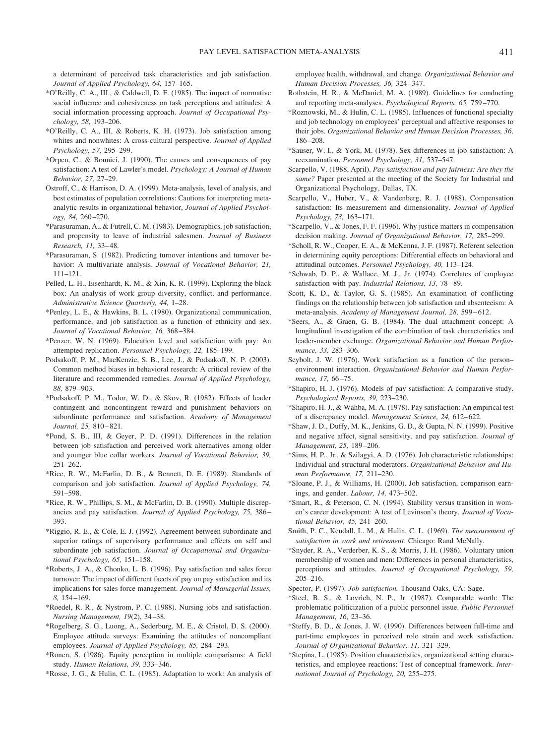a determinant of perceived task characteristics and job satisfaction. *Journal of Applied Psychology, 64,* 157–165.

- \*O'Reilly, C. A., III., & Caldwell, D. F. (1985). The impact of normative social influence and cohesiveness on task perceptions and attitudes: A social information processing approach. *Journal of Occupational Psychology, 58,* 193–206.
- \*O'Reilly, C. A., III, & Roberts, K. H. (1973). Job satisfaction among whites and nonwhites: A cross-cultural perspective. *Journal of Applied Psychology, 57,* 295–299.
- \*Orpen, C., & Bonnici, J. (1990). The causes and consequences of pay satisfaction: A test of Lawler's model. *Psychology: A Journal of Human Behavior, 27,* 27–29.
- Ostroff, C., & Harrison, D. A. (1999). Meta-analysis, level of analysis, and best estimates of population correlations: Cautions for interpreting metaanalytic results in organizational behavior, *Journal of Applied Psychology, 84,* 260 –270.
- \*Parasuraman, A., & Futrell, C. M. (1983). Demographics, job satisfaction, and propensity to leave of industrial salesmen. *Journal of Business Research, 11,* 33– 48.
- \*Parasuraman, S. (1982). Predicting turnover intentions and turnover behavior: A multivariate analysis. *Journal of Vocational Behavior, 21,* 111–121.
- Pelled, L. H., Eisenhardt, K. M., & Xin, K. R. (1999). Exploring the black box: An analysis of work group diversity, conflict, and performance. *Administrative Science Quarterly, 44,* 1–28.
- \*Penley, L. E., & Hawkins, B. L. (1980). Organizational communication, performance, and job satisfaction as a function of ethnicity and sex. *Journal of Vocational Behavior, 16,* 368 –384.
- \*Penzer, W. N. (1969). Education level and satisfaction with pay: An attempted replication. *Personnel Psychology, 22,* 185–199.
- Podsakoff, P. M., MacKenzie, S. B., Lee, J., & Podsakoff, N. P. (2003). Common method biases in behavioral research: A critical review of the literature and recommended remedies. *Journal of Applied Psychology, 88,* 879 –903.
- \*Podsakoff, P. M., Todor, W. D., & Skov, R. (1982). Effects of leader contingent and noncontingent reward and punishment behaviors on subordinate performance and satisfaction. *Academy of Management Journal, 25, 810-821.*
- \*Pond, S. B., III, & Geyer, P. D. (1991). Differences in the relation between job satisfaction and perceived work alternatives among older and younger blue collar workers. *Journal of Vocational Behavior, 39,* 251–262.
- \*Rice, R. W., McFarlin, D. B., & Bennett, D. E. (1989). Standards of comparison and job satisfaction. *Journal of Applied Psychology, 74,* 591–598.
- \*Rice, R. W., Phillips, S. M., & McFarlin, D. B. (1990). Multiple discrepancies and pay satisfaction. *Journal of Applied Psychology, 75,* 386 – 393.
- \*Riggio, R. E., & Cole, E. J. (1992). Agreement between subordinate and superior ratings of supervisory performance and effects on self and subordinate job satisfaction. *Journal of Occupational and Organizational Psychology, 65,* 151–158.
- \*Roberts, J. A., & Chonko, L. B. (1996). Pay satisfaction and sales force turnover: The impact of different facets of pay on pay satisfaction and its implications for sales force management. *Journal of Managerial Issues, 8,* 154 –169.
- \*Roedel, R. R., & Nystrom, P. C. (1988). Nursing jobs and satisfaction. *Nursing Management, 19*(2), 34 –38.
- \*Rogelberg, S. G., Luong, A., Sederburg, M. E., & Cristol, D. S. (2000). Employee attitude surveys: Examining the attitudes of noncompliant employees. *Journal of Applied Psychology, 85,* 284 –293.
- \*Ronen, S. (1986). Equity perception in multiple comparisons: A field study. *Human Relations, 39,* 333–346.

\*Rosse, J. G., & Hulin, C. L. (1985). Adaptation to work: An analysis of

employee health, withdrawal, and change. *Organizational Behavior and Human Decision Processes, 36,* 324 –347.

- Rothstein, H. R., & McDaniel, M. A. (1989). Guidelines for conducting and reporting meta-analyses. *Psychological Reports, 65,* 759 –770.
- \*Roznowski, M., & Hulin, C. L. (1985). Influences of functional specialty and job technology on employees' perceptual and affective responses to their jobs. *Organizational Behavior and Human Decision Processes, 36,* 186 –208.
- \*Sauser, W. I., & York, M. (1978). Sex differences in job satisfaction: A reexamination. *Personnel Psychology, 31,* 537–547.
- Scarpello, V. (1988, April). *Pay satisfaction and pay fairness: Are they the same?* Paper presented at the meeting of the Society for Industrial and Organizational Psychology, Dallas, TX.
- Scarpello, V., Huber, V., & Vandenberg, R. J. (1988). Compensation satisfaction: Its measurement and dimensionality. *Journal of Applied Psychology, 73,* 163–171.
- \*Scarpello, V., & Jones, F. F. (1996). Why justice matters in compensation decision making. *Journal of Organizational Behavior, 17,* 285–299.
- \*Scholl, R. W., Cooper, E. A., & McKenna, J. F. (1987). Referent selection in determining equity perceptions: Differential effects on behavioral and attitudinal outcomes. *Personnel Psychology, 40,* 113–124.
- \*Schwab, D. P., & Wallace, M. J., Jr. (1974). Correlates of employee satisfaction with pay. *Industrial Relations, 13, 78-89*.
- Scott, K. D., & Taylor, G. S. (1985). An examination of conflicting findings on the relationship between job satisfaction and absenteeism: A meta-analysis. *Academy of Management Journal, 28,* 599 – 612.
- \*Seers, A., & Graen, G. B. (1984). The dual attachment concept: A longitudinal investigation of the combination of task characteristics and leader-member exchange. *Organizational Behavior and Human Performance, 33,* 283–306.
- Seybolt, J. W. (1976). Work satisfaction as a function of the person– environment interaction. *Organizational Behavior and Human Perfor*mance, 17, 66-75.
- \*Shapiro, H. J. (1976). Models of pay satisfaction: A comparative study. *Psychological Reports, 39,* 223–230.
- \*Shapiro, H. J., & Wahba, M. A. (1978). Pay satisfaction: An empirical test of a discrepancy model. *Management Science, 24,* 612– 622.
- \*Shaw, J. D., Duffy, M. K., Jenkins, G. D., & Gupta, N. N. (1999). Positive and negative affect, signal sensitivity, and pay satisfaction. *Journal of Management, 25,* 189 –206.
- \*Sims, H. P., Jr., & Szilagyi, A. D. (1976). Job characteristic relationships: Individual and structural moderators. *Organizational Behavior and Human Performance, 17,* 211–230.
- \*Sloane, P. J., & Williams, H. (2000). Job satisfaction, comparison earnings, and gender. *Labour, 14,* 473–502.
- \*Smart, R., & Peterson, C. N. (1994). Stability versus transition in women's career development: A test of Levinson's theory. *Journal of Vocational Behavior, 45,* 241–260.
- Smith, P. C., Kendall, L. M., & Hulin, C. L. (1969). *The measurement of satisfaction in work and retirement.* Chicago: Rand McNally.
- \*Snyder, R. A., Verderber, K. S., & Morris, J. H. (1986). Voluntary union membership of women and men: Differences in personal characteristics, perceptions and attitudes. *Journal of Occupational Psychology, 59,* 205–216.
- Spector, P. (1997). *Job satisfaction.* Thousand Oaks, CA: Sage.
- \*Steel, B. S., & Lovrich, N. P., Jr. (1987). Comparable worth: The problematic politicization of a public personnel issue. *Public Personnel Management, 16,* 23–36.
- \*Steffy, B. D., & Jones, J. W. (1990). Differences between full-time and part-time employees in perceived role strain and work satisfaction. *Journal of Organizational Behavior, 11,* 321–329.
- \*Stepina, L. (1985). Position characteristics, organizational setting characteristics, and employee reactions: Test of conceptual framework. *International Journal of Psychology, 20,* 255–275.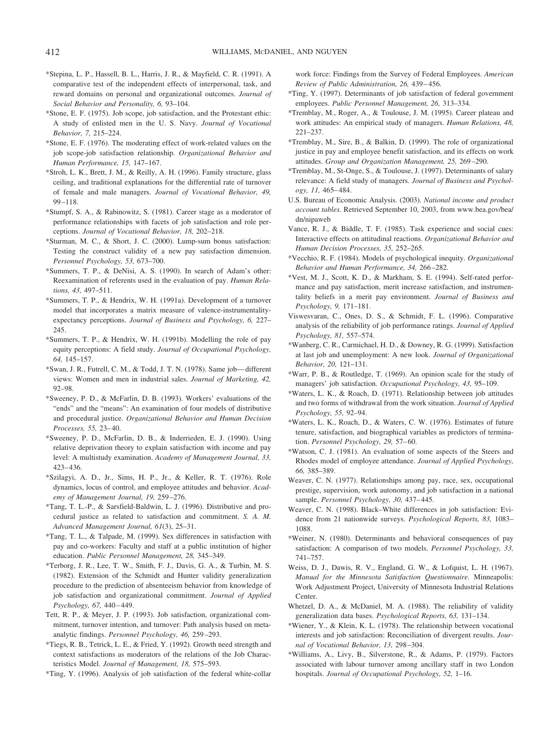- \*Stepina, L. P., Hassell, B. L., Harris, J. R., & Mayfield, C. R. (1991). A comparative test of the independent effects of interpersonal, task, and reward domains on personal and organizational outcomes. *Journal of Social Behavior and Personality, 6,* 93–104.
- \*Stone, E. F. (1975). Job scope, job satisfaction, and the Protestant ethic: A study of enlisted men in the U. S. Navy. *Journal of Vocational Behavior, 7,* 215–224.
- \*Stone, E. F. (1976). The moderating effect of work-related values on the job scope-job satisfaction relationship. *Organizational Behavior and Human Performance, 15,* 147–167.
- \*Stroh, L. K., Brett, J. M., & Reilly, A. H. (1996). Family structure, glass ceiling, and traditional explanations for the differential rate of turnover of female and male managers. *Journal of Vocational Behavior, 49,* 99 –118.
- \*Stumpf, S. A., & Rabinowitz, S. (1981). Career stage as a moderator of performance relationships with facets of job satisfaction and role perceptions. *Journal of Vocational Behavior, 18,* 202–218.
- \*Sturman, M. C., & Short, J. C. (2000). Lump-sum bonus satisfaction: Testing the construct validity of a new pay satisfaction dimension. *Personnel Psychology, 53,* 673–700.
- \*Summers, T. P., & DeNisi, A. S. (1990). In search of Adam's other: Reexamination of referents used in the evaluation of pay. *Human Relations, 43,* 497–511.
- \*Summers, T. P., & Hendrix, W. H. (1991a). Development of a turnover model that incorporates a matrix measure of valence-instrumentalityexpectancy perceptions. *Journal of Business and Psychology, 6,* 227– 245.
- \*Summers, T. P., & Hendrix, W. H. (1991b). Modelling the role of pay equity perceptions: A field study. *Journal of Occupational Psychology, 64,* 145–157.
- \*Swan, J. R., Futrell, C. M., & Todd, J. T. N. (1978). Same job— different views: Women and men in industrial sales. *Journal of Marketing, 42,* 92–98.
- \*Sweeney, P. D., & McFarlin, D. B. (1993). Workers' evaluations of the "ends" and the "means": An examination of four models of distributive and procedural justice. *Organizational Behavior and Human Decision Processes, 55,* 23– 40.
- \*Sweeney, P. D., McFarlin, D. B., & Inderrieden, E. J. (1990). Using relative deprivation theory to explain satisfaction with income and pay level: A multistudy examination. *Academy of Management Journal, 33,* 423– 436.
- \*Szilagyi, A. D., Jr., Sims, H. P., Jr., & Keller, R. T. (1976). Role dynamics, locus of control, and employee attitudes and behavior. *Academy of Management Journal, 19,* 259 –276.
- \*Tang, T. L.-P., & Sarsfield-Baldwin, L. J. (1996). Distributive and procedural justice as related to satisfaction and commitment. *S. A. M. Advanced Management Journal, 61*(3), 25–31.
- \*Tang, T. L., & Talpade, M. (1999). Sex differences in satisfaction with pay and co-workers: Faculty and staff at a public institution of higher education. *Public Personnel Management, 28,* 345–349.
- \*Terborg, J. R., Lee, T. W., Smith, F. J., Davis, G. A., & Turbin, M. S. (1982). Extension of the Schmidt and Hunter validity generalization procedure to the prediction of absenteeism behavior from knowledge of job satisfaction and organizational commitment. *Journal of Applied Psychology, 67,* 440 – 449.
- Tett, R. P., & Meyer, J. P. (1993). Job satisfaction, organizational commitment, turnover intention, and turnover: Path analysis based on metaanalytic findings. *Personnel Psychology, 46,* 259 –293.
- \*Tiegs, R. B., Tetrick, L. E., & Fried, Y. (1992). Growth need strength and context satisfactions as moderators of the relations of the Job Characteristics Model. *Journal of Management, 18,* 575–593.
- \*Ting, Y. (1996). Analysis of job satisfaction of the federal white-collar

work force: Findings from the Survey of Federal Employees. *American Review of Public Administration, 26,* 439 – 456.

- \*Ting, Y. (1997). Determinants of job satisfaction of federal government employees. *Public Personnel Management, 26,* 313–334.
- \*Tremblay, M., Roger, A., & Toulouse, J. M. (1995). Career plateau and work attitudes: An empirical study of managers. *Human Relations, 48,* 221–237.
- \*Tremblay, M., Sire, B., & Balkin, D. (1999). The role of organizational justice in pay and employee benefit satisfaction, and its effects on work attitudes. *Group and Organization Management, 25,* 269 –290.
- \*Tremblay, M., St-Onge, S., & Toulouse, J. (1997). Determinants of salary relevance: A field study of managers. *Journal of Business and Psychology, 11,* 465– 484.
- U.S. Bureau of Economic Analysis. (2003). *National income and product account tables.* Retrieved September 10, 2003, from www.bea.gov/bea/ dn/nipaweb
- Vance, R. J., & Biddle, T. F. (1985). Task experience and social cues: Interactive effects on attitudinal reactions. *Organizational Behavior and Human Decision Processes, 35,* 252–265.
- \*Vecchio, R. F. (1984). Models of psychological inequity. *Organizational Behavior and Human Performance, 34,* 266 –282.
- \*Vest, M. J., Scott, K. D., & Markham, S. E. (1994). Self-rated performance and pay satisfaction, merit increase satisfaction, and instrumentality beliefs in a merit pay environment. *Journal of Business and Psychology, 9,* 171–181.
- Viswesvaran, C., Ones, D. S., & Schmidt, F. L. (1996). Comparative analysis of the reliability of job performance ratings. *Journal of Applied Psychology, 81,* 557–574.
- \*Wanberg, C. R., Carmichael, H. D., & Downey, R. G. (1999). Satisfaction at last job and unemployment: A new look. *Journal of Organizational Behavior, 20,* 121–131.
- \*Warr, P. B., & Routledge, T. (1969). An opinion scale for the study of managers' job satisfaction. *Occupational Psychology, 43,* 95–109.
- \*Waters, L. K., & Roach, D. (1971). Relationship between job attitudes and two forms of withdrawal from the work situation. *Journal of Applied Psychology, 55,* 92–94.
- \*Waters, L. K., Roach, D., & Waters, C. W. (1976). Estimates of future tenure, satisfaction, and biographical variables as predictors of termination. *Personnel Psychology*, 29, 57–60.
- \*Watson, C. J. (1981). An evaluation of some aspects of the Steers and Rhodes model of employee attendance. *Journal of Applied Psychology, 66,* 385–389.
- Weaver, C. N. (1977). Relationships among pay, race, sex, occupational prestige, supervision, work autonomy, and job satisfaction in a national sample. *Personnel Psychology, 30,* 437– 445.
- Weaver, C. N. (1998). Black–White differences in job satisfaction: Evidence from 21 nationwide surveys. *Psychological Reports, 83,* 1083– 1088.
- \*Weiner, N. (1980). Determinants and behavioral consequences of pay satisfaction: A comparison of two models. *Personnel Psychology, 33,* 741–757.
- Weiss, D. J., Dawis, R. V., England, G. W., & Lofquist, L. H. (1967). *Manual for the Minnesota Satisfaction Questionnaire.* Minneapolis: Work Adjustment Project, University of Minnesota Industrial Relations Center.
- Whetzel, D. A., & McDaniel, M. A. (1988). The reliability of validity generalization data bases. *Psychological Reports, 63,* 131–134.
- \*Wiener, Y., & Klein, K. L. (1978). The relationship between vocational interests and job satisfaction: Reconciliation of divergent results. *Journal of Vocational Behavior, 13,* 298 –304.
- \*Williams, A., Livy, B., Silverstone, R., & Adams, P. (1979). Factors associated with labour turnover among ancillary staff in two London hospitals. *Journal of Occupational Psychology, 52,* 1–16.